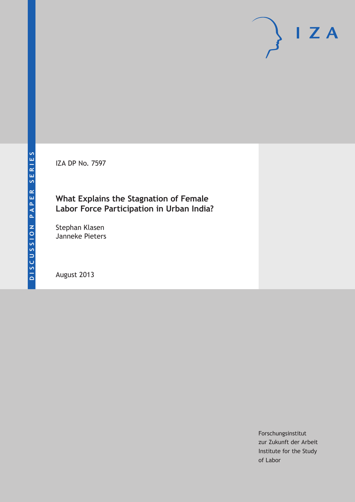IZA DP No. 7597

## **What Explains the Stagnation of Female Labor Force Participation in Urban India?**

Stephan Klasen Janneke Pieters

August 2013

Forschungsinstitut zur Zukunft der Arbeit Institute for the Study of Labor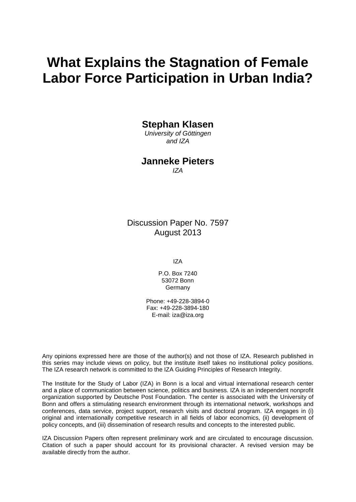# **What Explains the Stagnation of Female Labor Force Participation in Urban India?**

### **Stephan Klasen**

*University of Göttingen and IZA*

## **Janneke Pieters**

*IZA*

Discussion Paper No. 7597 August 2013

IZA

P.O. Box 7240 53072 Bonn Germany

Phone: +49-228-3894-0 Fax: +49-228-3894-180 E-mail: [iza@iza.org](mailto:iza@iza.org)

Any opinions expressed here are those of the author(s) and not those of IZA. Research published in this series may include views on policy, but the institute itself takes no institutional policy positions. The IZA research network is committed to the IZA Guiding Principles of Research Integrity.

The Institute for the Study of Labor (IZA) in Bonn is a local and virtual international research center and a place of communication between science, politics and business. IZA is an independent nonprofit organization supported by Deutsche Post Foundation. The center is associated with the University of Bonn and offers a stimulating research environment through its international network, workshops and conferences, data service, project support, research visits and doctoral program. IZA engages in (i) original and internationally competitive research in all fields of labor economics, (ii) development of policy concepts, and (iii) dissemination of research results and concepts to the interested public.

<span id="page-1-0"></span>IZA Discussion Papers often represent preliminary work and are circulated to encourage discussion. Citation of such a paper should account for its provisional character. A revised version may be available directly from the author.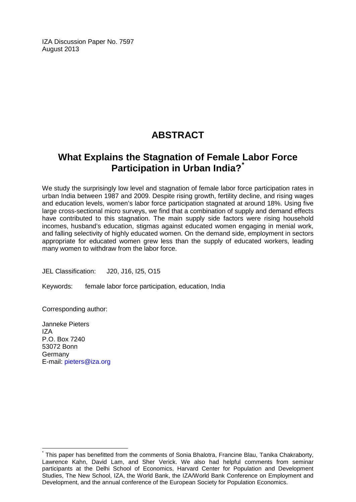IZA Discussion Paper No. 7597 August 2013

## **ABSTRACT**

## **What Explains the Stagnation of Female Labor Force Participation in Urban India?[\\*](#page-1-0)**

We study the surprisingly low level and stagnation of female labor force participation rates in urban India between 1987 and 2009. Despite rising growth, fertility decline, and rising wages and education levels, women's labor force participation stagnated at around 18%. Using five large cross-sectional micro surveys, we find that a combination of supply and demand effects have contributed to this stagnation. The main supply side factors were rising household incomes, husband's education, stigmas against educated women engaging in menial work, and falling selectivity of highly educated women. On the demand side, employment in sectors appropriate for educated women grew less than the supply of educated workers, leading many women to withdraw from the labor force.

JEL Classification: J20, J16, I25, O15

Keywords: female labor force participation, education, India

Corresponding author:

Janneke Pieters IZA P.O. Box 7240 53072 Bonn Germany E-mail: [pieters@iza.org](mailto:pieters@iza.org)

This paper has benefitted from the comments of Sonia Bhalotra, Francine Blau, Tanika Chakraborty, Lawrence Kahn, David Lam, and Sher Verick. We also had helpful comments from seminar participants at the Delhi School of Economics, Harvard Center for Population and Development Studies, The New School, IZA, the World Bank, the IZA/World Bank Conference on Employment and Development, and the annual conference of the European Society for Population Economics.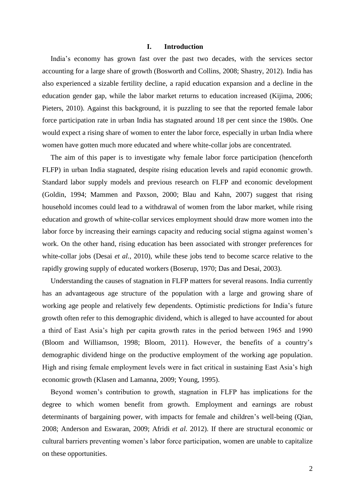#### **I. Introduction**

India"s economy has grown fast over the past two decades, with the services sector accounting for a large share of growth (Bosworth and Collins, 2008; Shastry, 2012). India has also experienced a sizable fertility decline, a rapid education expansion and a decline in the education gender gap, while the labor market returns to education increased (Kijima, 2006; Pieters, 2010). Against this background, it is puzzling to see that the reported female labor force participation rate in urban India has stagnated around 18 per cent since the 1980s. One would expect a rising share of women to enter the labor force, especially in urban India where women have gotten much more educated and where white-collar jobs are concentrated.

The aim of this paper is to investigate why female labor force participation (henceforth FLFP) in urban India stagnated, despite rising education levels and rapid economic growth. Standard labor supply models and previous research on FLFP and economic development (Goldin, 1994; Mammen and Paxson, 2000; Blau and Kahn, 2007) suggest that rising household incomes could lead to a withdrawal of women from the labor market, while rising education and growth of white-collar services employment should draw more women into the labor force by increasing their earnings capacity and reducing social stigma against women's work. On the other hand, rising education has been associated with stronger preferences for white-collar jobs (Desai *et al.*, 2010), while these jobs tend to become scarce relative to the rapidly growing supply of educated workers (Boserup, 1970; Das and Desai, 2003).

Understanding the causes of stagnation in FLFP matters for several reasons. India currently has an advantageous age structure of the population with a large and growing share of working age people and relatively few dependents. Optimistic predictions for India"s future growth often refer to this demographic dividend, which is alleged to have accounted for about a third of East Asia"s high per capita growth rates in the period between 1965 and 1990 (Bloom and Williamson, 1998; Bloom, 2011). However, the benefits of a country"s demographic dividend hinge on the productive employment of the working age population. High and rising female employment levels were in fact critical in sustaining East Asia's high economic growth (Klasen and Lamanna, 2009; Young, 1995).

Beyond women"s contribution to growth, stagnation in FLFP has implications for the degree to which women benefit from growth. Employment and earnings are robust determinants of bargaining power, with impacts for female and children's well-being (Qian, 2008; Anderson and Eswaran, 2009; Afridi *et al.* 2012). If there are structural economic or cultural barriers preventing women"s labor force participation, women are unable to capitalize on these opportunities.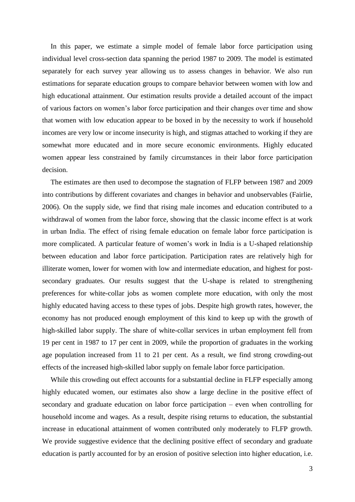In this paper, we estimate a simple model of female labor force participation using individual level cross-section data spanning the period 1987 to 2009. The model is estimated separately for each survey year allowing us to assess changes in behavior. We also run estimations for separate education groups to compare behavior between women with low and high educational attainment. Our estimation results provide a detailed account of the impact of various factors on women"s labor force participation and their changes over time and show that women with low education appear to be boxed in by the necessity to work if household incomes are very low or income insecurity is high, and stigmas attached to working if they are somewhat more educated and in more secure economic environments. Highly educated women appear less constrained by family circumstances in their labor force participation decision.

The estimates are then used to decompose the stagnation of FLFP between 1987 and 2009 into contributions by different covariates and changes in behavior and unobservables (Fairlie, 2006). On the supply side, we find that rising male incomes and education contributed to a withdrawal of women from the labor force, showing that the classic income effect is at work in urban India. The effect of rising female education on female labor force participation is more complicated. A particular feature of women"s work in India is a U-shaped relationship between education and labor force participation. Participation rates are relatively high for illiterate women, lower for women with low and intermediate education, and highest for postsecondary graduates. Our results suggest that the U-shape is related to strengthening preferences for white-collar jobs as women complete more education, with only the most highly educated having access to these types of jobs. Despite high growth rates, however, the economy has not produced enough employment of this kind to keep up with the growth of high-skilled labor supply. The share of white-collar services in urban employment fell from 19 per cent in 1987 to 17 per cent in 2009, while the proportion of graduates in the working age population increased from 11 to 21 per cent. As a result, we find strong crowding-out effects of the increased high-skilled labor supply on female labor force participation.

While this crowding out effect accounts for a substantial decline in FLFP especially among highly educated women, our estimates also show a large decline in the positive effect of secondary and graduate education on labor force participation – even when controlling for household income and wages. As a result, despite rising returns to education, the substantial increase in educational attainment of women contributed only moderately to FLFP growth. We provide suggestive evidence that the declining positive effect of secondary and graduate education is partly accounted for by an erosion of positive selection into higher education, i.e.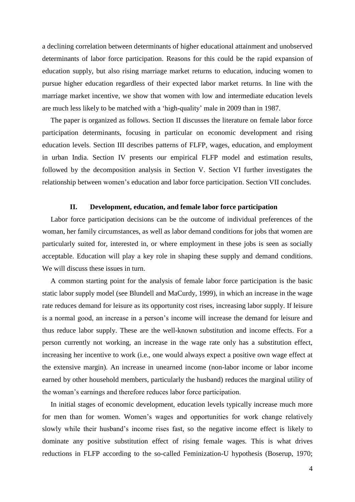a declining correlation between determinants of higher educational attainment and unobserved determinants of labor force participation. Reasons for this could be the rapid expansion of education supply, but also rising marriage market returns to education, inducing women to pursue higher education regardless of their expected labor market returns. In line with the marriage market incentive, we show that women with low and intermediate education levels are much less likely to be matched with a "high-quality" male in 2009 than in 1987.

The paper is organized as follows. Section II discusses the literature on female labor force participation determinants, focusing in particular on economic development and rising education levels. Section III describes patterns of FLFP, wages, education, and employment in urban India. Section IV presents our empirical FLFP model and estimation results, followed by the decomposition analysis in Section V. Section VI further investigates the relationship between women"s education and labor force participation. Section VII concludes.

#### **II. Development, education, and female labor force participation**

Labor force participation decisions can be the outcome of individual preferences of the woman, her family circumstances, as well as labor demand conditions for jobs that women are particularly suited for, interested in, or where employment in these jobs is seen as socially acceptable. Education will play a key role in shaping these supply and demand conditions. We will discuss these issues in turn.

A common starting point for the analysis of female labor force participation is the basic static labor supply model (see Blundell and MaCurdy, 1999), in which an increase in the wage rate reduces demand for leisure as its opportunity cost rises, increasing labor supply. If leisure is a normal good, an increase in a person"s income will increase the demand for leisure and thus reduce labor supply. These are the well-known substitution and income effects. For a person currently not working, an increase in the wage rate only has a substitution effect, increasing her incentive to work (i.e., one would always expect a positive own wage effect at the extensive margin). An increase in unearned income (non-labor income or labor income earned by other household members, particularly the husband) reduces the marginal utility of the woman"s earnings and therefore reduces labor force participation.

In initial stages of economic development, education levels typically increase much more for men than for women. Women"s wages and opportunities for work change relatively slowly while their husband"s income rises fast, so the negative income effect is likely to dominate any positive substitution effect of rising female wages. This is what drives reductions in FLFP according to the so-called Feminization-U hypothesis (Boserup, 1970;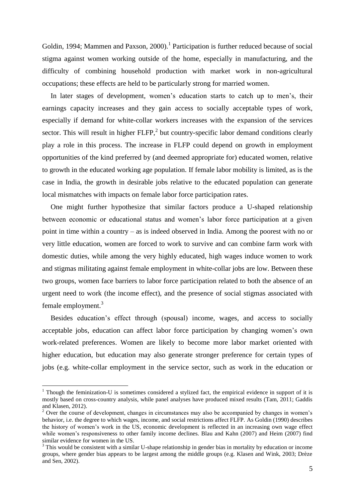Goldin, 1994; Mammen and Paxson, 2000).<sup>1</sup> Participation is further reduced because of social stigma against women working outside of the home, especially in manufacturing, and the difficulty of combining household production with market work in non-agricultural occupations; these effects are held to be particularly strong for married women.

In later stages of development, women's education starts to catch up to men's, their earnings capacity increases and they gain access to socially acceptable types of work, especially if demand for white-collar workers increases with the expansion of the services sector. This will result in higher  $FLFP$ , but country-specific labor demand conditions clearly play a role in this process. The increase in FLFP could depend on growth in employment opportunities of the kind preferred by (and deemed appropriate for) educated women, relative to growth in the educated working age population. If female labor mobility is limited, as is the case in India, the growth in desirable jobs relative to the educated population can generate local mismatches with impacts on female labor force participation rates.

One might further hypothesize that similar factors produce a U-shaped relationship between economic or educational status and women"s labor force participation at a given point in time within a country – as is indeed observed in India. Among the poorest with no or very little education, women are forced to work to survive and can combine farm work with domestic duties, while among the very highly educated, high wages induce women to work and stigmas militating against female employment in white-collar jobs are low. Between these two groups, women face barriers to labor force participation related to both the absence of an urgent need to work (the income effect), and the presence of social stigmas associated with female employment.<sup>3</sup>

Besides education"s effect through (spousal) income, wages, and access to socially acceptable jobs, education can affect labor force participation by changing women"s own work-related preferences. Women are likely to become more labor market oriented with higher education, but education may also generate stronger preference for certain types of jobs (e.g. white-collar employment in the service sector, such as work in the education or

<u>.</u>

<sup>&</sup>lt;sup>1</sup> Though the feminization-U is sometimes considered a stylized fact, the empirical evidence in support of it is mostly based on cross-country analysis, while panel analyses have produced mixed results (Tam, 2011; Gaddis and Klasen, 2012).

<sup>&</sup>lt;sup>2</sup> Over the course of development, changes in circumstances may also be accompanied by changes in women's behavior, i.e. the degree to which wages, income, and social restrictions affect FLFP. As Goldin (1990) describes the history of women"s work in the US, economic development is reflected in an increasing own wage effect while women's responsiveness to other family income declines. Blau and Kahn (2007) and Heim (2007) find similar evidence for women in the US.

 $3$  This would be consistent with a similar U-shape relationship in gender bias in mortality by education or income groups, where gender bias appears to be largest among the middle groups (e.g. Klasen and Wink, 2003; Drèze and Sen, 2002).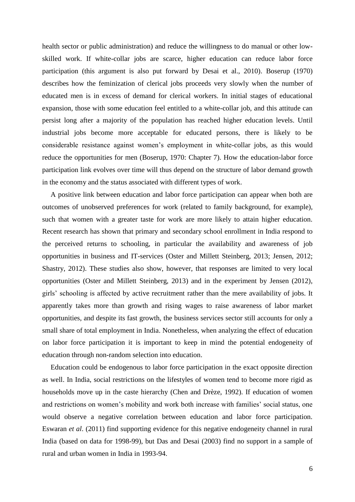health sector or public administration) and reduce the willingness to do manual or other lowskilled work. If white-collar jobs are scarce, higher education can reduce labor force participation (this argument is also put forward by Desai et al., 2010). Boserup (1970) describes how the feminization of clerical jobs proceeds very slowly when the number of educated men is in excess of demand for clerical workers. In initial stages of educational expansion, those with some education feel entitled to a white-collar job, and this attitude can persist long after a majority of the population has reached higher education levels. Until industrial jobs become more acceptable for educated persons, there is likely to be considerable resistance against women"s employment in white-collar jobs, as this would reduce the opportunities for men (Boserup, 1970: Chapter 7). How the education-labor force participation link evolves over time will thus depend on the structure of labor demand growth in the economy and the status associated with different types of work.

A positive link between education and labor force participation can appear when both are outcomes of unobserved preferences for work (related to family background, for example), such that women with a greater taste for work are more likely to attain higher education. Recent research has shown that primary and secondary school enrollment in India respond to the perceived returns to schooling, in particular the availability and awareness of job opportunities in business and IT-services (Oster and Millett Steinberg, 2013; Jensen, 2012; Shastry, 2012). These studies also show, however, that responses are limited to very local opportunities (Oster and Millett Steinberg, 2013) and in the experiment by Jensen (2012), girls" schooling is affected by active recruitment rather than the mere availability of jobs. It apparently takes more than growth and rising wages to raise awareness of labor market opportunities, and despite its fast growth, the business services sector still accounts for only a small share of total employment in India. Nonetheless, when analyzing the effect of education on labor force participation it is important to keep in mind the potential endogeneity of education through non-random selection into education.

Education could be endogenous to labor force participation in the exact opposite direction as well. In India, social restrictions on the lifestyles of women tend to become more rigid as households move up in the caste hierarchy (Chen and Drèze, 1992). If education of women and restrictions on women's mobility and work both increase with families' social status, one would observe a negative correlation between education and labor force participation. Eswaran *et al*. (2011) find supporting evidence for this negative endogeneity channel in rural India (based on data for 1998-99), but Das and Desai (2003) find no support in a sample of rural and urban women in India in 1993-94.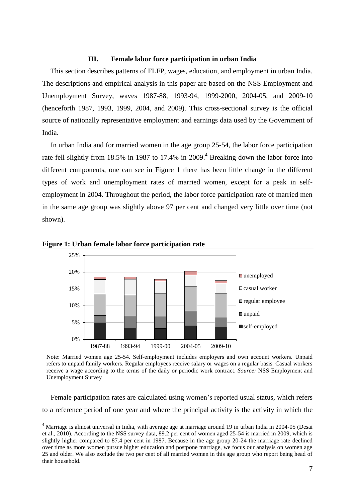### **III. Female labor force participation in urban India**

This section describes patterns of FLFP, wages, education, and employment in urban India. The descriptions and empirical analysis in this paper are based on the NSS Employment and Unemployment Survey, waves 1987-88, 1993-94, 1999-2000, 2004-05, and 2009-10 (henceforth 1987, 1993, 1999, 2004, and 2009). This cross-sectional survey is the official source of nationally representative employment and earnings data used by the Government of India.

In urban India and for married women in the age group 25-54, the labor force participation rate fell slightly from 18.5% in 1987 to 17.4% in 2009.<sup>4</sup> Breaking down the labor force into different components, one can see in Figure 1 there has been little change in the different types of work and unemployment rates of married women, except for a peak in selfemployment in 2004. Throughout the period, the labor force participation rate of married men in the same age group was slightly above 97 per cent and changed very little over time (not shown).





1

Note: Married women age 25-54. Self-employment includes employers and own account workers. Unpaid refers to unpaid family workers. Regular employees receive salary or wages on a regular basis. Casual workers receive a wage according to the terms of the daily or periodic work contract. *Source:* NSS Employment and Unemployment Survey

Female participation rates are calculated using women"s reported usual status, which refers to a reference period of one year and where the principal activity is the activity in which the

<sup>4</sup> Marriage is almost universal in India, with average age at marriage around 19 in urban India in 2004-05 (Desai et al., 2010). According to the NSS survey data, 89.2 per cent of women aged 25-54 is married in 2009, which is slightly higher compared to 87.4 per cent in 1987. Because in the age group 20-24 the marriage rate declined over time as more women pursue higher education and postpone marriage, we focus our analysis on women age 25 and older. We also exclude the two per cent of all married women in this age group who report being head of their household.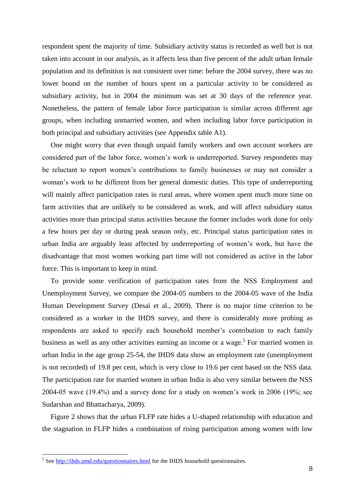respondent spent the majority of time. Subsidiary activity status is recorded as well but is not taken into account in our analysis, as it affects less than five percent of the adult urban female population and its definition is not consistent over time: before the 2004 survey, there was no lower bound on the number of hours spent on a particular activity to be considered as subsidiary activity, but in 2004 the minimum was set at 30 days of the reference year. Nonetheless, the pattern of female labor force participation is similar across different age groups, when including unmarried women, and when including labor force participation in both principal and subsidiary activities (see Appendix table A1).

One might worry that even though unpaid family workers and own account workers are considered part of the labor force, women"s work is underreported. Survey respondents may be reluctant to report women's contributions to family businesses or may not consider a woman"s work to be different from her general domestic duties. This type of underreporting will mainly affect participation rates in rural areas, where women spent much more time on farm activities that are unlikely to be considered as work, and will affect subsidiary status activities more than principal status activities because the former includes work done for only a few hours per day or during peak season only, etc. Principal status participation rates in urban India are arguably least affected by underreporting of women"s work, but have the disadvantage that most women working part time will not considered as active in the labor force. This is important to keep in mind.

To provide some verification of participation rates from the NSS Employment and Unemployment Survey, we compare the 2004-05 numbers to the 2004-05 wave of the India Human Development Survey (Desai et al., 2009). There is no major time criterion to be considered as a worker in the IHDS survey, and there is considerably more probing as respondents are asked to specify each household member's contribution to each family business as well as any other activities earning an income or a wage.<sup>5</sup> For married women in urban India in the age group 25-54, the IHDS data show an employment rate (unemployment is not recorded) of 19.8 per cent, which is very close to 19.6 per cent based on the NSS data. The participation rate for married women in urban India is also very similar between the NSS 2004-05 wave (19.4%) and a survey done for a study on women"s work in 2006 (19%; see Sudarshan and Bhattacharya, 2009).

Figure 2 shows that the urban FLFP rate hides a U-shaped relationship with education and the stagnation in FLFP hides a combination of rising participation among women with low

1

<sup>&</sup>lt;sup>5</sup> See<http://ihds.umd.edu/questionnaires.html> for the IHDS household questionnaires.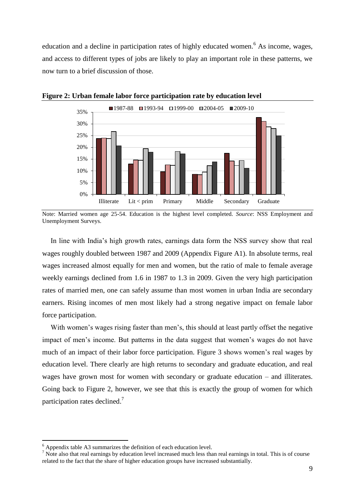education and a decline in participation rates of highly educated women.<sup>6</sup> As income, wages, and access to different types of jobs are likely to play an important role in these patterns, we now turn to a brief discussion of those.



**Figure 2: Urban female labor force participation rate by education level**

Note: Married women age 25-54. Education is the highest level completed. *Source*: NSS Employment and Unemployment Surveys.

In line with India"s high growth rates, earnings data form the NSS survey show that real wages roughly doubled between 1987 and 2009 (Appendix Figure A1). In absolute terms, real wages increased almost equally for men and women, but the ratio of male to female average weekly earnings declined from 1.6 in 1987 to 1.3 in 2009. Given the very high participation rates of married men, one can safely assume than most women in urban India are secondary earners. Rising incomes of men most likely had a strong negative impact on female labor force participation.

With women's wages rising faster than men's, this should at least partly offset the negative impact of men"s income. But patterns in the data suggest that women"s wages do not have much of an impact of their labor force participation. Figure 3 shows women"s real wages by education level. There clearly are high returns to secondary and graduate education, and real wages have grown most for women with secondary or graduate education – and illiterates. Going back to Figure 2, however, we see that this is exactly the group of women for which participation rates declined.<sup>7</sup>

1

 $6$  Appendix table A3 summarizes the definition of each education level.

 $\frac{7}{10}$  Note also that real earnings by education level increased much less than real earnings in total. This is of course related to the fact that the share of higher education groups have increased substantially.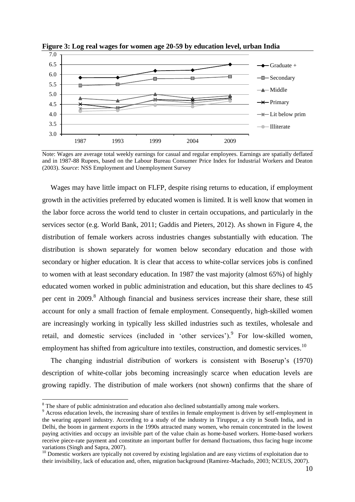

**Figure 3: Log real wages for women age 20-59 by education level, urban India**

Note: Wages are average total weekly earnings for casual and regular employees. Earnings are spatially deflated and in 1987-88 Rupees, based on the Labour Bureau Consumer Price Index for Industrial Workers and Deaton (2003). *Source*: NSS Employment and Unemployment Survey

Wages may have little impact on FLFP, despite rising returns to education, if employment growth in the activities preferred by educated women is limited. It is well know that women in the labor force across the world tend to cluster in certain occupations, and particularly in the services sector (e.g. World Bank, 2011; Gaddis and Pieters, 2012). As shown in Figure 4, the distribution of female workers across industries changes substantially with education. The distribution is shown separately for women below secondary education and those with secondary or higher education. It is clear that access to white-collar services jobs is confined to women with at least secondary education. In 1987 the vast majority (almost 65%) of highly educated women worked in public administration and education, but this share declines to 45 per cent in 2009.<sup>8</sup> Although financial and business services increase their share, these still account for only a small fraction of female employment. Consequently, high-skilled women are increasingly working in typically less skilled industries such as textiles, wholesale and retail, and domestic services (included in 'other services'). For low-skilled women, employment has shifted from agriculture into textiles, construction, and domestic services.<sup>10</sup>

The changing industrial distribution of workers is consistent with Boserup"s (1970) description of white-collar jobs becoming increasingly scarce when education levels are growing rapidly. The distribution of male workers (not shown) confirms that the share of

<u>.</u>

<sup>&</sup>lt;sup>8</sup> The share of public administration and education also declined substantially among male workers.

<sup>&</sup>lt;sup>9</sup> Across education levels, the increasing share of textiles in female employment is driven by self-employment in the wearing apparel industry. According to a study of the industry in Tiruppur, a city in South India, and in Delhi, the boom in garment exports in the 1990s attracted many women, who remain concentrated in the lowest paying activities and occupy an invisible part of the value chain as home-based workers. Home-based workers receive piece-rate payment and constitute an important buffer for demand fluctuations, thus facing huge income variations (Singh and Sapra, 2007).

<sup>&</sup>lt;sup>10</sup> Domestic workers are typically not covered by existing legislation and are easy victims of exploitation due to their invisibility, lack of education and, often, migration background (Ramirez-Machado, 2003; NCEUS, 2007).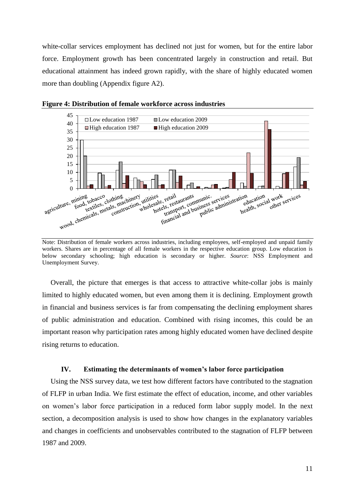white-collar services employment has declined not just for women, but for the entire labor force. Employment growth has been concentrated largely in construction and retail. But educational attainment has indeed grown rapidly, with the share of highly educated women more than doubling (Appendix figure A2).



**Figure 4: Distribution of female workforce across industries**

Note: Distribution of female workers across industries, including employees, self-employed and unpaid family workers. Shares are in percentage of all female workers in the respective education group. Low education is below secondary schooling; high education is secondary or higher. *Source*: NSS Employment and Unemployment Survey.

Overall, the picture that emerges is that access to attractive white-collar jobs is mainly limited to highly educated women, but even among them it is declining. Employment growth in financial and business services is far from compensating the declining employment shares of public administration and education. Combined with rising incomes, this could be an important reason why participation rates among highly educated women have declined despite rising returns to education.

#### **IV. Estimating the determinants of women's labor force participation**

Using the NSS survey data, we test how different factors have contributed to the stagnation of FLFP in urban India. We first estimate the effect of education, income, and other variables on women"s labor force participation in a reduced form labor supply model. In the next section, a decomposition analysis is used to show how changes in the explanatory variables and changes in coefficients and unobservables contributed to the stagnation of FLFP between 1987 and 2009.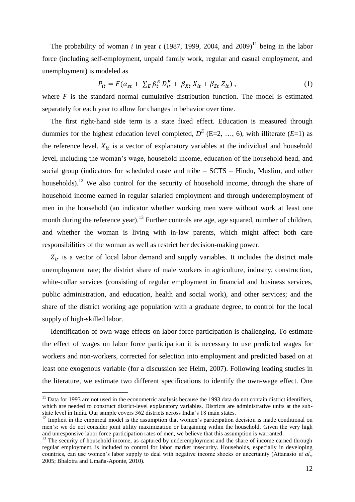The probability of woman *i* in year *t* (1987, 1999, 2004, and 2009)<sup>11</sup> being in the labor force (including self-employment, unpaid family work, regular and casual employment, and unemployment) is modeled as

$$
P_{it} = F(\alpha_{st} + \sum_{E} \beta_t^E D_{it}^E + \beta_{Xt} X_{it} + \beta_{Zt} Z_{it}),
$$
\n(1)

where *F* is the standard normal cumulative distribution function. The model is estimated separately for each year to allow for changes in behavior over time.

The first right-hand side term is a state fixed effect. Education is measured through dummies for the highest education level completed,  $D^{E}$  (E=2, ..., 6), with illiterate (*E*=1) as the reference level.  $X_{it}$  is a vector of explanatory variables at the individual and household level, including the woman"s wage, household income, education of the household head, and social group (indicators for scheduled caste and tribe – SCTS – Hindu, Muslim, and other households).<sup>12</sup> We also control for the security of household income, through the share of household income earned in regular salaried employment and through underemployment of men in the household (an indicator whether working men were without work at least one month during the reference year).<sup>13</sup> Further controls are age, age squared, number of children, and whether the woman is living with in-law parents, which might affect both care responsibilities of the woman as well as restrict her decision-making power.

 $Z_{it}$  is a vector of local labor demand and supply variables. It includes the district male unemployment rate; the district share of male workers in agriculture, industry, construction, white-collar services (consisting of regular employment in financial and business services, public administration, and education, health and social work), and other services; and the share of the district working age population with a graduate degree, to control for the local supply of high-skilled labor.

Identification of own-wage effects on labor force participation is challenging. To estimate the effect of wages on labor force participation it is necessary to use predicted wages for workers and non-workers, corrected for selection into employment and predicted based on at least one exogenous variable (for a discussion see Heim, 2007). Following leading studies in the literature, we estimate two different specifications to identify the own-wage effect. One

1

 $11$  Data for 1993 are not used in the econometric analysis because the 1993 data do not contain district identifiers, which are needed to construct district-level explanatory variables. Districts are administrative units at the substate level in India. Our sample covers 362 districts across India"s 18 main states.

<sup>&</sup>lt;sup>12</sup> Implicit in the empirical model is the assumption that women's participation decision is made conditional on men"s: we do not consider joint utility maximization or bargaining within the household. Given the very high and unresponsive labor force participation rates of men, we believe that this assumption is warranted.

 $<sup>13</sup>$  The security of household income, as captured by underemployment and the share of income earned through</sup> regular employment, is included to control for labor market insecurity. Households, especially in developing countries, can use women's labor supply to deal with negative income shocks or uncertainty (Attanasio *et al.*, 2005; Bhalotra and Umaña-Aponte, 2010).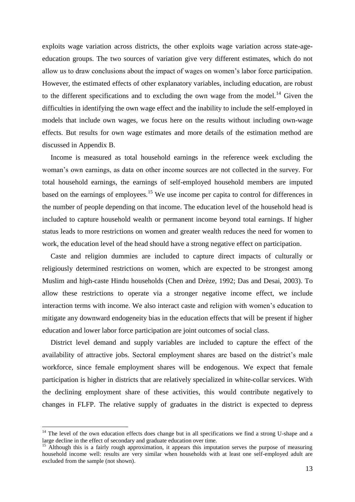exploits wage variation across districts, the other exploits wage variation across state-ageeducation groups. The two sources of variation give very different estimates, which do not allow us to draw conclusions about the impact of wages on women"s labor force participation. However, the estimated effects of other explanatory variables, including education, are robust to the different specifications and to excluding the own wage from the model.<sup>14</sup> Given the difficulties in identifying the own wage effect and the inability to include the self-employed in models that include own wages, we focus here on the results without including own-wage effects. But results for own wage estimates and more details of the estimation method are discussed in Appendix B.

Income is measured as total household earnings in the reference week excluding the woman"s own earnings, as data on other income sources are not collected in the survey. For total household earnings, the earnings of self-employed household members are imputed based on the earnings of employees.<sup>15</sup> We use income per capita to control for differences in the number of people depending on that income. The education level of the household head is included to capture household wealth or permanent income beyond total earnings. If higher status leads to more restrictions on women and greater wealth reduces the need for women to work, the education level of the head should have a strong negative effect on participation.

Caste and religion dummies are included to capture direct impacts of culturally or religiously determined restrictions on women, which are expected to be strongest among Muslim and high-caste Hindu households (Chen and Drèze, 1992; Das and Desai, 2003). To allow these restrictions to operate via a stronger negative income effect, we include interaction terms with income. We also interact caste and religion with women"s education to mitigate any downward endogeneity bias in the education effects that will be present if higher education and lower labor force participation are joint outcomes of social class.

District level demand and supply variables are included to capture the effect of the availability of attractive jobs. Sectoral employment shares are based on the district's male workforce, since female employment shares will be endogenous. We expect that female participation is higher in districts that are relatively specialized in white-collar services. With the declining employment share of these activities, this would contribute negatively to changes in FLFP. The relative supply of graduates in the district is expected to depress

<u>.</u>

<sup>&</sup>lt;sup>14</sup> The level of the own education effects does change but in all specifications we find a strong U-shape and a large decline in the effect of secondary and graduate education over time.

<sup>&</sup>lt;sup>15</sup> Although this is a fairly rough approximation, it appears this imputation serves the purpose of measuring household income well: results are very similar when households with at least one self-employed adult are excluded from the sample (not shown).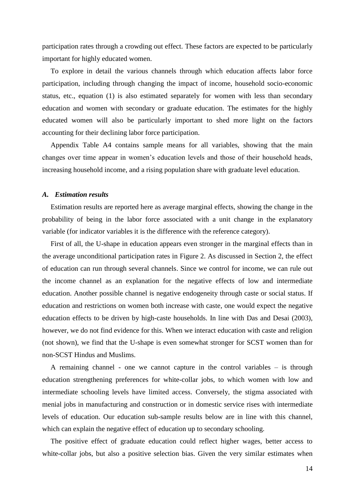participation rates through a crowding out effect. These factors are expected to be particularly important for highly educated women.

To explore in detail the various channels through which education affects labor force participation, including through changing the impact of income, household socio-economic status, etc., equation (1) is also estimated separately for women with less than secondary education and women with secondary or graduate education. The estimates for the highly educated women will also be particularly important to shed more light on the factors accounting for their declining labor force participation.

Appendix Table A4 contains sample means for all variables, showing that the main changes over time appear in women"s education levels and those of their household heads, increasing household income, and a rising population share with graduate level education.

#### *A. Estimation results*

Estimation results are reported here as average marginal effects, showing the change in the probability of being in the labor force associated with a unit change in the explanatory variable (for indicator variables it is the difference with the reference category).

First of all, the U-shape in education appears even stronger in the marginal effects than in the average unconditional participation rates in Figure 2. As discussed in Section 2, the effect of education can run through several channels. Since we control for income, we can rule out the income channel as an explanation for the negative effects of low and intermediate education. Another possible channel is negative endogeneity through caste or social status. If education and restrictions on women both increase with caste, one would expect the negative education effects to be driven by high-caste households. In line with Das and Desai (2003), however, we do not find evidence for this. When we interact education with caste and religion (not shown), we find that the U-shape is even somewhat stronger for SCST women than for non-SCST Hindus and Muslims.

A remaining channel - one we cannot capture in the control variables – is through education strengthening preferences for white-collar jobs, to which women with low and intermediate schooling levels have limited access. Conversely, the stigma associated with menial jobs in manufacturing and construction or in domestic service rises with intermediate levels of education. Our education sub-sample results below are in line with this channel, which can explain the negative effect of education up to secondary schooling.

The positive effect of graduate education could reflect higher wages, better access to white-collar jobs, but also a positive selection bias. Given the very similar estimates when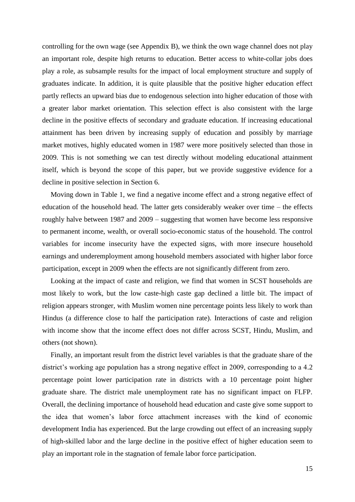controlling for the own wage (see Appendix B), we think the own wage channel does not play an important role, despite high returns to education. Better access to white-collar jobs does play a role, as subsample results for the impact of local employment structure and supply of graduates indicate. In addition, it is quite plausible that the positive higher education effect partly reflects an upward bias due to endogenous selection into higher education of those with a greater labor market orientation. This selection effect is also consistent with the large decline in the positive effects of secondary and graduate education. If increasing educational attainment has been driven by increasing supply of education and possibly by marriage market motives, highly educated women in 1987 were more positively selected than those in 2009. This is not something we can test directly without modeling educational attainment itself, which is beyond the scope of this paper, but we provide suggestive evidence for a decline in positive selection in Section 6.

Moving down in Table 1, we find a negative income effect and a strong negative effect of education of the household head. The latter gets considerably weaker over time – the effects roughly halve between 1987 and 2009 – suggesting that women have become less responsive to permanent income, wealth, or overall socio-economic status of the household. The control variables for income insecurity have the expected signs, with more insecure household earnings and underemployment among household members associated with higher labor force participation, except in 2009 when the effects are not significantly different from zero.

Looking at the impact of caste and religion, we find that women in SCST households are most likely to work, but the low caste-high caste gap declined a little bit. The impact of religion appears stronger, with Muslim women nine percentage points less likely to work than Hindus (a difference close to half the participation rate). Interactions of caste and religion with income show that the income effect does not differ across SCST, Hindu, Muslim, and others (not shown).

Finally, an important result from the district level variables is that the graduate share of the district's working age population has a strong negative effect in 2009, corresponding to a 4.2 percentage point lower participation rate in districts with a 10 percentage point higher graduate share. The district male unemployment rate has no significant impact on FLFP. Overall, the declining importance of household head education and caste give some support to the idea that women"s labor force attachment increases with the kind of economic development India has experienced. But the large crowding out effect of an increasing supply of high-skilled labor and the large decline in the positive effect of higher education seem to play an important role in the stagnation of female labor force participation.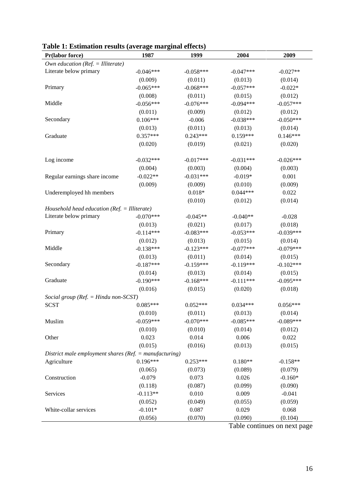| Pr(labor force)                                            | 1987        | 1999        | 2004        | 2009                         |
|------------------------------------------------------------|-------------|-------------|-------------|------------------------------|
| Own education ( $Ref. = Illustrate$ )                      |             |             |             |                              |
| Literate below primary                                     | $-0.046***$ | $-0.058***$ | $-0.047***$ | $-0.027**$                   |
|                                                            | (0.009)     | (0.011)     | (0.013)     | (0.014)                      |
| Primary                                                    | $-0.065***$ | $-0.068***$ | $-0.057***$ | $-0.022*$                    |
|                                                            | (0.008)     | (0.011)     | (0.015)     | (0.012)                      |
| Middle                                                     | $-0.056***$ | $-0.076***$ | $-0.094***$ | $-0.057***$                  |
|                                                            | (0.011)     | (0.009)     | (0.012)     | (0.012)                      |
| Secondary                                                  | $0.106***$  | $-0.006$    | $-0.038***$ | $-0.050***$                  |
|                                                            | (0.013)     | (0.011)     | (0.013)     | (0.014)                      |
| Graduate                                                   | $0.357***$  | $0.243***$  | $0.159***$  | $0.146***$                   |
|                                                            | (0.020)     | (0.019)     | (0.021)     | (0.020)                      |
| Log income                                                 | $-0.032***$ | $-0.017***$ | $-0.031***$ | $-0.026***$                  |
|                                                            | (0.004)     | (0.003)     | (0.004)     | (0.003)                      |
| Regular earnings share income                              | $-0.022**$  | $-0.031***$ | $-0.019*$   | 0.001                        |
|                                                            | (0.009)     | (0.009)     | (0.010)     | (0.009)                      |
| Underemployed hh members                                   |             | $0.018*$    | $0.044***$  | 0.022                        |
|                                                            |             | (0.010)     | (0.012)     | (0.014)                      |
| Household head education ( $Ref. = Illustrate$ )           |             |             |             |                              |
| Literate below primary                                     | $-0.070***$ | $-0.045**$  | $-0.040**$  | $-0.028$                     |
|                                                            | (0.013)     | (0.021)     | (0.017)     | (0.018)                      |
| Primary                                                    | $-0.114***$ | $-0.083***$ | $-0.053***$ | $-0.039***$                  |
|                                                            | (0.012)     | (0.013)     | (0.015)     | (0.014)                      |
| Middle                                                     | $-0.138***$ | $-0.123***$ | $-0.077***$ | $-0.079***$                  |
|                                                            | (0.013)     | (0.011)     | (0.014)     | (0.015)                      |
| Secondary                                                  | $-0.187***$ | $-0.159***$ | $-0.119***$ | $-0.102***$                  |
|                                                            | (0.014)     | (0.013)     | (0.014)     | (0.015)                      |
| Graduate                                                   | $-0.190***$ | $-0.168***$ | $-0.111***$ | $-0.095***$                  |
|                                                            | (0.016)     | (0.015)     | (0.020)     | (0.018)                      |
| Social group ( $Ref. = Hindu$ non-SCST)                    |             |             |             |                              |
| <b>SCST</b>                                                | $0.085***$  | $0.052***$  | $0.034***$  | $0.056***$                   |
|                                                            | (0.010)     | (0.011)     | (0.013)     | (0.014)                      |
| Muslim                                                     | $-0.059***$ | $-0.070***$ | $-0.085***$ | $-0.089***$                  |
|                                                            | (0.010)     | (0.010)     | (0.014)     | (0.012)                      |
| Other                                                      | 0.023       | 0.014       | 0.006       | 0.022                        |
|                                                            | (0.015)     | (0.016)     | (0.013)     | (0.015)                      |
| District male employment shares ( $Ref. = manufacturing$ ) |             |             |             |                              |
| Agriculture                                                | $0.196***$  | $0.253***$  | $0.180**$   | $-0.158**$                   |
|                                                            | (0.065)     | (0.073)     | (0.089)     | (0.079)                      |
| Construction                                               | $-0.079$    | 0.073       | 0.026       | $-0.160*$                    |
|                                                            | (0.118)     | (0.087)     | (0.099)     | (0.090)                      |
| Services                                                   | $-0.113**$  | 0.010       | 0.009       | $-0.041$                     |
|                                                            | (0.052)     | (0.049)     | (0.055)     | (0.059)                      |
| White-collar services                                      | $-0.101*$   | 0.087       | 0.029       | 0.068                        |
|                                                            | (0.056)     | (0.070)     | (0.090)     | (0.104)                      |
|                                                            |             |             |             | Table continues on next page |

**Table 1: Estimation results (average marginal effects)**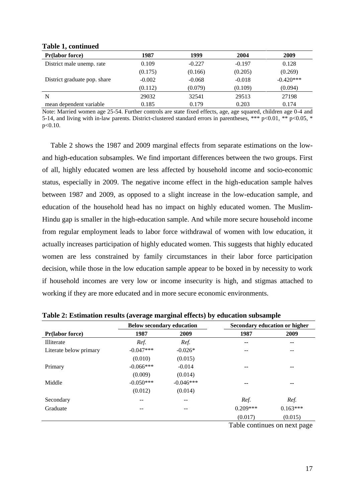| rabic 1, continued           |          |          |          |             |
|------------------------------|----------|----------|----------|-------------|
| <b>Pr</b> (labor force)      | 1987     | 1999     | 2004     | 2009        |
| District male unemp. rate    | 0.109    | $-0.227$ | $-0.197$ | 0.128       |
|                              | (0.175)  | (0.166)  | (0.205)  | (0.269)     |
| District graduate pop. share | $-0.002$ | $-0.068$ | $-0.018$ | $-0.420***$ |
|                              | (0.112)  | (0.079)  | (0.109)  | (0.094)     |
| N                            | 29032    | 32541    | 29513    | 27198       |
| mean dependent variable      | 0.185    | 0.179    | 0.203    | 0.174       |

#### **Table 1, continued**

Note: Married women age 25-54. Further controls are state fixed effects, age, age squared, children age 0-4 and 5-14, and living with in-law parents. District-clustered standard errors in parentheses, \*\*\* p<0.01, \*\* p<0.05, \* p<0.10.

Table 2 shows the 1987 and 2009 marginal effects from separate estimations on the lowand high-education subsamples. We find important differences between the two groups. First of all, highly educated women are less affected by household income and socio-economic status, especially in 2009. The negative income effect in the high-education sample halves between 1987 and 2009, as opposed to a slight increase in the low-education sample, and education of the household head has no impact on highly educated women. The Muslim-Hindu gap is smaller in the high-education sample. And while more secure household income from regular employment leads to labor force withdrawal of women with low education, it actually increases participation of highly educated women. This suggests that highly educated women are less constrained by family circumstances in their labor force participation decision, while those in the low education sample appear to be boxed in by necessity to work if household incomes are very low or income insecurity is high, and stigmas attached to working if they are more educated and in more secure economic environments.

|                         | <b>Below secondary education</b> |             |                   | Secondary education or higher |
|-------------------------|----------------------------------|-------------|-------------------|-------------------------------|
| <b>Pr</b> (labor force) | 1987                             | 2009        | 1987              | 2009                          |
| <b>Illiterate</b>       | Ref.                             | Ref.        | $- -$             | $\sim$ $\sim$                 |
| Literate below primary  | $-0.047***$                      | $-0.026*$   |                   | --                            |
|                         | (0.010)                          | (0.015)     |                   |                               |
| Primary                 | $-0.066***$                      | $-0.014$    | --                | $\sim$ $\sim$                 |
|                         | (0.009)                          | (0.014)     |                   |                               |
| Middle                  | $-0.050***$                      | $-0.046***$ | --                | $\sim$ $\sim$                 |
|                         | (0.012)                          | (0.014)     |                   |                               |
| Secondary               | --                               | --          | Ref.              | Ref.                          |
| Graduate                | $- -$                            | $- -$       | $0.209***$        | $0.163***$                    |
|                         |                                  |             | (0.017)<br>__ _ _ | (0.015)                       |

**Table 2: Estimation results (average marginal effects) by education subsample**

Table continues on next page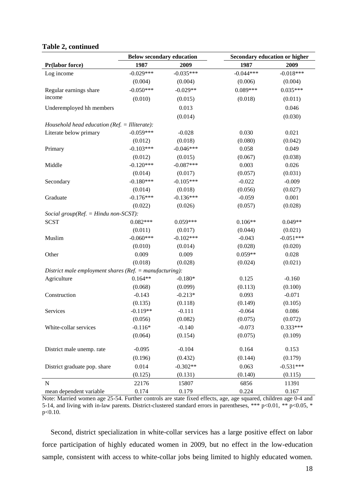#### **Table 2, continued**

|                                                             | <b>Below secondary education</b> |             |             | Secondary education or higher |
|-------------------------------------------------------------|----------------------------------|-------------|-------------|-------------------------------|
| Pr(labor force)                                             | 1987                             | 2009        | 1987        | 2009                          |
| Log income                                                  | $-0.029***$                      | $-0.035***$ | $-0.044***$ | $-0.018***$                   |
|                                                             | (0.004)                          | (0.004)     | (0.006)     | (0.004)                       |
| Regular earnings share                                      | $-0.050***$                      | $-0.029**$  | $0.089***$  | $0.035***$                    |
| income                                                      | (0.010)                          | (0.015)     | (0.018)     | (0.011)                       |
| Underemployed hh members                                    |                                  | 0.013       |             | 0.046                         |
|                                                             |                                  | (0.014)     |             | (0.030)                       |
| Household head education ( $Ref. = Illustrate$ ):           |                                  |             |             |                               |
| Literate below primary                                      | $-0.059***$                      | $-0.028$    | 0.030       | 0.021                         |
|                                                             | (0.012)                          | (0.018)     | (0.080)     | (0.042)                       |
| Primary                                                     | $-0.103***$                      | $-0.046***$ | 0.058       | 0.049                         |
|                                                             | (0.012)                          | (0.015)     | (0.067)     | (0.038)                       |
| Middle                                                      | $-0.120***$                      | $-0.087***$ | 0.003       | 0.026                         |
|                                                             | (0.014)                          | (0.017)     | (0.057)     | (0.031)                       |
| Secondary                                                   | $-0.180***$                      | $-0.105***$ | $-0.022$    | $-0.009$                      |
|                                                             | (0.014)                          | (0.018)     | (0.056)     | (0.027)                       |
| Graduate                                                    | $-0.176***$                      | $-0.136***$ | $-0.059$    | 0.001                         |
|                                                             | (0.022)                          | (0.026)     | (0.057)     | (0.028)                       |
| Social group( $Ref. = Hindu$ non-SCST):                     |                                  |             |             |                               |
| <b>SCST</b>                                                 | $0.082***$                       | $0.059***$  | $0.106**$   | $0.049**$                     |
|                                                             | (0.011)                          | (0.017)     | (0.044)     | (0.021)                       |
| Muslim                                                      | $-0.060***$                      | $-0.102***$ | $-0.043$    | $-0.051***$                   |
|                                                             | (0.010)                          | (0.014)     | (0.028)     | (0.020)                       |
| Other                                                       | 0.009                            | 0.009       | $0.059**$   | 0.028                         |
|                                                             | (0.018)                          | (0.028)     | (0.024)     | (0.021)                       |
| District male employment shares ( $Ref. = manufacturing$ ): |                                  |             |             |                               |
| Agriculture                                                 | $0.164**$                        | $-0.180*$   | 0.125       | $-0.160$                      |
|                                                             | (0.068)                          | (0.099)     | (0.113)     | (0.100)                       |
| Construction                                                | $-0.143$                         | $-0.213*$   | 0.093       | $-0.071$                      |
|                                                             | (0.135)                          | (0.118)     | (0.149)     | (0.105)                       |
| Services                                                    | $-0.119**$                       | $-0.111$    | $-0.064$    | 0.086                         |
|                                                             | (0.056)                          | (0.082)     | (0.075)     | (0.072)                       |
| White-collar services                                       | $-0.116*$                        | $-0.140$    | $-0.073$    | $0.333***$                    |
|                                                             | (0.064)                          | (0.154)     | (0.075)     | (0.109)                       |
| District male unemp. rate                                   | $-0.095$                         | $-0.104$    | 0.164       | 0.153                         |
|                                                             | (0.196)                          | (0.432)     | (0.144)     | (0.179)                       |
| District graduate pop. share                                | 0.014                            | $-0.302**$  | 0.063       | $-0.531***$                   |
|                                                             | (0.125)                          | (0.131)     | (0.140)     | (0.115)                       |
| ${\bf N}$                                                   | 22176                            | 15807       | 6856        | 11391                         |
| mean dependent variable                                     | 0.174                            | 0.179       | 0.224       | 0.167                         |

Note: Married women age 25-54. Further controls are state fixed effects, age, age squared, children age 0-4 and 5-14, and living with in-law parents. District-clustered standard errors in parentheses, \*\*\* p<0.01, \*\* p<0.05, \* p<0.10.

Second, district specialization in white-collar services has a large positive effect on labor force participation of highly educated women in 2009, but no effect in the low-education sample, consistent with access to white-collar jobs being limited to highly educated women.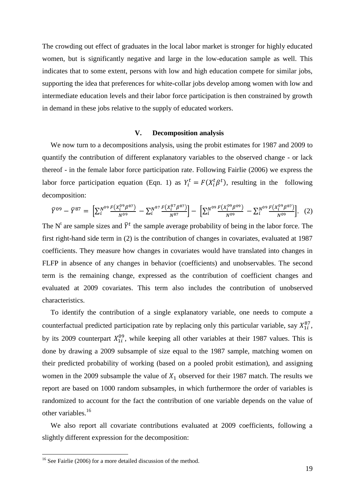The crowding out effect of graduates in the local labor market is stronger for highly educated women, but is significantly negative and large in the low-education sample as well. This indicates that to some extent, persons with low and high education compete for similar jobs, supporting the idea that preferences for white-collar jobs develop among women with low and intermediate education levels and their labor force participation is then constrained by growth in demand in these jobs relative to the supply of educated workers.

#### **V. Decomposition analysis**

We now turn to a decompositions analysis, using the probit estimates for 1987 and 2009 to quantify the contribution of different explanatory variables to the observed change - or lack thereof - in the female labor force participation rate. Following Fairlie (2006) we express the labor force participation equation (Eqn. 1) as  $Y_i^t = F(X_i^t \beta^t)$ , resulting in the following decomposition:

$$
\overline{Y}^{09} - \overline{Y}^{87} = \left[ \sum_{i}^{N^{09}} \frac{F(X_i^{09} \beta^{87})}{N^{09}} - \sum_{i}^{N^{87}} \frac{F(X_i^{87} \beta^{87})}{N^{87}} \right] - \left[ \sum_{i}^{N^{09}} \frac{F(X_i^{09} \beta^{09})}{N^{09}} - \sum_{i}^{N^{09}} \frac{F(X_i^{09} \beta^{87})}{N^{09}} \right].
$$
 (2)

The N<sup>t</sup> are sample sizes and  $\bar{Y}^t$  the sample average probability of being in the labor force. The first right-hand side term in (2) is the contribution of changes in covariates, evaluated at 1987 coefficients. They measure how changes in covariates would have translated into changes in FLFP in absence of any changes in behavior (coefficients) and unobservables. The second term is the remaining change, expressed as the contribution of coefficient changes and evaluated at 2009 covariates. This term also includes the contribution of unobserved characteristics.

To identify the contribution of a single explanatory variable, one needs to compute a counterfactual predicted participation rate by replacing only this particular variable, say  $X_{1i}^{87}$ , by its 2009 counterpart  $X_{1i}^{09}$ , while keeping all other variables at their 1987 values. This is done by drawing a 2009 subsample of size equal to the 1987 sample, matching women on their predicted probability of working (based on a pooled probit estimation), and assigning women in the 2009 subsample the value of  $X_1$  observed for their 1987 match. The results we report are based on 1000 random subsamples, in which furthermore the order of variables is randomized to account for the fact the contribution of one variable depends on the value of other variables.<sup>16</sup>

We also report all covariate contributions evaluated at 2009 coefficients, following a slightly different expression for the decomposition:

1

 $16$  See Fairlie (2006) for a more detailed discussion of the method.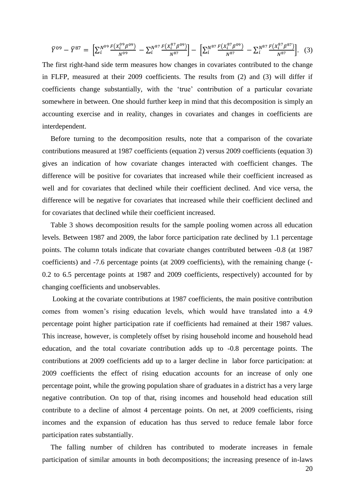$$
\overline{Y}^{09} - \overline{Y}^{87} = \left[ \sum_{i}^{N^{09}} \frac{F(X_i^{09} \beta^{09})}{N^{09}} - \sum_{i}^{N^{87}} \frac{F(X_i^{87} \beta^{09})}{N^{87}} \right] - \left[ \sum_{i}^{N^{87}} \frac{F(X_i^{87} \beta^{09})}{N^{87}} - \sum_{i}^{N^{87}} \frac{F(X_i^{87} \beta^{87})}{N^{87}} \right].
$$
 (3)

The first right-hand side term measures how changes in covariates contributed to the change in FLFP, measured at their 2009 coefficients. The results from (2) and (3) will differ if coefficients change substantially, with the "true" contribution of a particular covariate somewhere in between. One should further keep in mind that this decomposition is simply an accounting exercise and in reality, changes in covariates and changes in coefficients are interdependent.

Before turning to the decomposition results, note that a comparison of the covariate contributions measured at 1987 coefficients (equation 2) versus 2009 coefficients (equation 3) gives an indication of how covariate changes interacted with coefficient changes. The difference will be positive for covariates that increased while their coefficient increased as well and for covariates that declined while their coefficient declined. And vice versa, the difference will be negative for covariates that increased while their coefficient declined and for covariates that declined while their coefficient increased.

Table 3 shows decomposition results for the sample pooling women across all education levels. Between 1987 and 2009, the labor force participation rate declined by 1.1 percentage points. The column totals indicate that covariate changes contributed between -0.8 (at 1987 coefficients) and -7.6 percentage points (at 2009 coefficients), with the remaining change (- 0.2 to 6.5 percentage points at 1987 and 2009 coefficients, respectively) accounted for by changing coefficients and unobservables.

Looking at the covariate contributions at 1987 coefficients, the main positive contribution comes from women"s rising education levels, which would have translated into a 4.9 percentage point higher participation rate if coefficients had remained at their 1987 values. This increase, however, is completely offset by rising household income and household head education, and the total covariate contribution adds up to -0.8 percentage points. The contributions at 2009 coefficients add up to a larger decline in labor force participation: at 2009 coefficients the effect of rising education accounts for an increase of only one percentage point, while the growing population share of graduates in a district has a very large negative contribution. On top of that, rising incomes and household head education still contribute to a decline of almost 4 percentage points. On net, at 2009 coefficients, rising incomes and the expansion of education has thus served to reduce female labor force participation rates substantially.

The falling number of children has contributed to moderate increases in female participation of similar amounts in both decompositions; the increasing presence of in-laws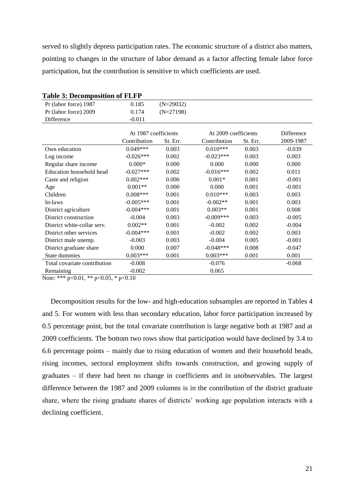served to slightly depress participation rates. The economic structure of a district also matters, pointing to changes in the structure of labor demand as a factor affecting female labor force participation, but the contribution is sensitive to which coefficients are used.

| L'avie de Décomposition di l'ext                                                                                                                                                                                                                                                                                                                                                                                                                                                    |                      |             |                      |          |            |
|-------------------------------------------------------------------------------------------------------------------------------------------------------------------------------------------------------------------------------------------------------------------------------------------------------------------------------------------------------------------------------------------------------------------------------------------------------------------------------------|----------------------|-------------|----------------------|----------|------------|
| Pr (labor force) 1987                                                                                                                                                                                                                                                                                                                                                                                                                                                               | 0.185                | $(N=29032)$ |                      |          |            |
| Pr (labor force) 2009                                                                                                                                                                                                                                                                                                                                                                                                                                                               | 0.174                | $(N=27198)$ |                      |          |            |
| Difference                                                                                                                                                                                                                                                                                                                                                                                                                                                                          | $-0.011$             |             |                      |          |            |
|                                                                                                                                                                                                                                                                                                                                                                                                                                                                                     |                      |             |                      |          |            |
|                                                                                                                                                                                                                                                                                                                                                                                                                                                                                     | At 1987 coefficients |             | At 2009 coefficients |          | Difference |
|                                                                                                                                                                                                                                                                                                                                                                                                                                                                                     | Contribution         | St. Err.    | Contribution         | St. Err. | 2009-1987  |
| Own education                                                                                                                                                                                                                                                                                                                                                                                                                                                                       | $0.049***$           | 0.003       | $0.010***$           | 0.003    | $-0.039$   |
| Log income                                                                                                                                                                                                                                                                                                                                                                                                                                                                          | $-0.026***$          | 0.002       | $-0.023***$          | 0.003    | 0.003      |
| Regular share income                                                                                                                                                                                                                                                                                                                                                                                                                                                                | $0.000*$             | 0.000       | 0.000                | 0.000    | 0.000      |
| Education household head                                                                                                                                                                                                                                                                                                                                                                                                                                                            | $-0.027***$          | 0.002       | $-0.016***$          | 0.002    | 0.011      |
| Caste and religion                                                                                                                                                                                                                                                                                                                                                                                                                                                                  | $0.002***$           | 0.000       | $0.001*$             | 0.001    | $-0.001$   |
| Age                                                                                                                                                                                                                                                                                                                                                                                                                                                                                 | $0.001**$            | 0.000       | 0.000                | 0.001    | $-0.001$   |
| Children                                                                                                                                                                                                                                                                                                                                                                                                                                                                            | $0.008***$           | 0.001       | $0.010***$           | 0.003    | 0.003      |
| In-laws                                                                                                                                                                                                                                                                                                                                                                                                                                                                             | $-0.005***$          | 0.001       | $-0.002**$           | 0.001    | 0.003      |
| District agriculture                                                                                                                                                                                                                                                                                                                                                                                                                                                                | $-0.004***$          | 0.001       | $0.003**$            | 0.001    | 0.008      |
| District construction                                                                                                                                                                                                                                                                                                                                                                                                                                                               | $-0.004$             | 0.003       | $-0.009***$          | 0.003    | $-0.005$   |
| District white-collar serv.                                                                                                                                                                                                                                                                                                                                                                                                                                                         | $0.002**$            | 0.001       | $-0.002$             | 0.002    | $-0.004$   |
| District other services                                                                                                                                                                                                                                                                                                                                                                                                                                                             | $-0.004***$          | 0.001       | $-0.002$             | 0.002    | 0.003      |
| District male unemp.                                                                                                                                                                                                                                                                                                                                                                                                                                                                | $-0.003$             | 0.003       | $-0.004$             | 0.005    | $-0.001$   |
| District graduate share                                                                                                                                                                                                                                                                                                                                                                                                                                                             | 0.000                | 0.007       | $-0.048***$          | 0.008    | $-0.047$   |
| State dummies                                                                                                                                                                                                                                                                                                                                                                                                                                                                       | $0.003***$           | 0.001       | $0.003***$           | 0.001    | 0.001      |
| Total covariate contribution                                                                                                                                                                                                                                                                                                                                                                                                                                                        | $-0.008$             |             | $-0.076$             |          | $-0.068$   |
| Remaining                                                                                                                                                                                                                                                                                                                                                                                                                                                                           | $-0.002$             |             | 0.065                |          |            |
| $\mathcal{L}(\mathcal{L}(\mathcal{L}, \mathcal{L})) = \mathcal{L}(\mathcal{L}(\mathcal{L}, \mathcal{L}) = \mathcal{L}(\mathcal{L}(\mathcal{L}, \mathcal{L})) = \mathcal{L}(\mathcal{L}(\mathcal{L}, \mathcal{L})) = \mathcal{L}(\mathcal{L}(\mathcal{L}, \mathcal{L})) = \mathcal{L}(\mathcal{L}(\mathcal{L}, \mathcal{L})) = \mathcal{L}(\mathcal{L}(\mathcal{L}, \mathcal{L})) = \mathcal{L}(\mathcal{L}(\mathcal{L}, \mathcal{L})) = \mathcal{L}(\mathcal{L}(\mathcal{L}, \math$ | $\sim$ 10            |             |                      |          |            |

Note: \*\*\* p<0.01, \*\* p<0.05, \* p<0.10

Decomposition results for the low- and high-education subsamples are reported in Tables 4 and 5. For women with less than secondary education, labor force participation increased by 0.5 percentage point, but the total covariate contribution is large negative both at 1987 and at 2009 coefficients. The bottom two rows show that participation would have declined by 3.4 to 6.6 percentage points – mainly due to rising education of women and their household heads, rising incomes, sectoral employment shifts towards construction, and growing supply of graduates – if there had been no change in coefficients and in unobservables. The largest difference between the 1987 and 2009 columns is in the contribution of the district graduate share, where the rising graduate shares of districts' working age population interacts with a declining coefficient.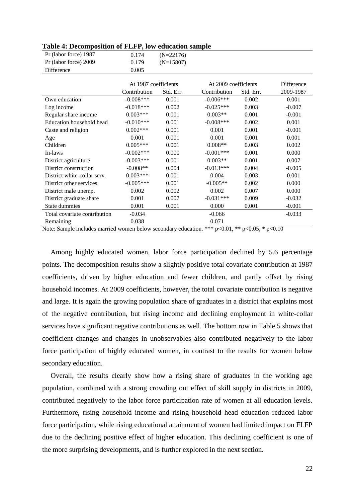| Pr (labor force) 1987        | 0.174                | $(N=22176)$ |                      |           |            |
|------------------------------|----------------------|-------------|----------------------|-----------|------------|
| Pr (labor force) 2009        | 0.179                | $(N=15807)$ |                      |           |            |
| Difference                   | 0.005                |             |                      |           |            |
|                              |                      |             |                      |           |            |
|                              | At 1987 coefficients |             | At 2009 coefficients |           | Difference |
|                              | Contribution         | Std. Err.   | Contribution         | Std. Err. | 2009-1987  |
| Own education                | $-0.008***$          | 0.001       | $-0.006***$          | 0.002     | 0.001      |
| Log income                   | $-0.018***$          | 0.002       | $-0.025***$          | 0.003     | $-0.007$   |
| Regular share income         | $0.003***$           | 0.001       | $0.003**$            | 0.001     | $-0.001$   |
| Education household head     | $-0.010***$          | 0.001       | $-0.008***$          | 0.002     | 0.001      |
| Caste and religion           | $0.002***$           | 0.001       | 0.001                | 0.001     | $-0.001$   |
| Age                          | 0.001                | 0.001       | 0.001                | 0.001     | 0.001      |
| Children                     | $0.005***$           | 0.001       | $0.008**$            | 0.003     | 0.002      |
| In-laws                      | $-0.002***$          | 0.000       | $-0.001***$          | 0.001     | 0.000      |
| District agriculture         | $-0.003***$          | 0.001       | $0.003**$            | 0.001     | 0.007      |
| District construction        | $-0.008**$           | 0.004       | $-0.013***$          | 0.004     | $-0.005$   |
| District white-collar serv.  | $0.003***$           | 0.001       | 0.004                | 0.003     | 0.001      |
| District other services      | $-0.005***$          | 0.001       | $-0.005**$           | 0.002     | 0.000      |
| District male unemp.         | 0.002                | 0.002       | 0.002                | 0.007     | 0.000      |
| District graduate share      | 0.001                | 0.007       | $-0.031***$          | 0.009     | $-0.032$   |
| State dummies                | 0.001                | 0.001       | 0.000                | 0.001     | $-0.001$   |
| Total covariate contribution | $-0.034$             |             | $-0.066$             |           | $-0.033$   |
| Remaining                    | 0.038                |             | 0.071                |           |            |

**Table 4: Decomposition of FLFP, low education sample**

Note: Sample includes married women below secondary education. \*\*\*  $p<0.01$ , \*\*  $p<0.05$ , \*  $p<0.10$ 

Among highly educated women, labor force participation declined by 5.6 percentage points. The decomposition results show a slightly positive total covariate contribution at 1987 coefficients, driven by higher education and fewer children, and partly offset by rising household incomes. At 2009 coefficients, however, the total covariate contribution is negative and large. It is again the growing population share of graduates in a district that explains most of the negative contribution, but rising income and declining employment in white-collar services have significant negative contributions as well. The bottom row in Table 5 shows that coefficient changes and changes in unobservables also contributed negatively to the labor force participation of highly educated women, in contrast to the results for women below secondary education.

Overall, the results clearly show how a rising share of graduates in the working age population, combined with a strong crowding out effect of skill supply in districts in 2009, contributed negatively to the labor force participation rate of women at all education levels. Furthermore, rising household income and rising household head education reduced labor force participation, while rising educational attainment of women had limited impact on FLFP due to the declining positive effect of higher education. This declining coefficient is one of the more surprising developments, and is further explored in the next section.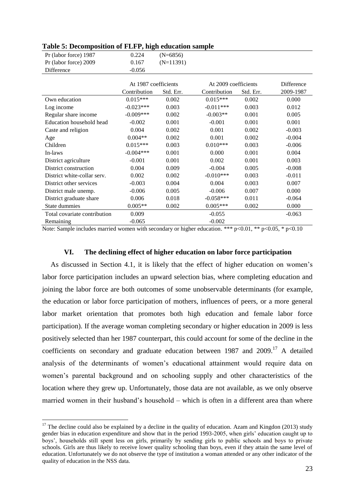| Pr (labor force) 1987        | 0.224                | $(N=6856)$  |                      |           |            |
|------------------------------|----------------------|-------------|----------------------|-----------|------------|
| Pr (labor force) 2009        | 0.167                | $(N=11391)$ |                      |           |            |
| Difference                   | $-0.056$             |             |                      |           |            |
|                              |                      |             |                      |           |            |
|                              | At 1987 coefficients |             | At 2009 coefficients |           | Difference |
|                              | Contribution         | Std. Err.   | Contribution         | Std. Err. | 2009-1987  |
| Own education                | $0.015***$           | 0.002       | $0.015***$           | 0.002     | 0.000      |
| Log income                   | $-0.023***$          | 0.003       | $-0.011***$          | 0.003     | 0.012      |
| Regular share income         | $-0.009***$          | 0.002       | $-0.003**$           | 0.001     | 0.005      |
| Education household head     | $-0.002$             | 0.001       | $-0.001$             | 0.001     | 0.001      |
| Caste and religion           | 0.004                | 0.002       | 0.001                | 0.002     | $-0.003$   |
| Age                          | $0.004**$            | 0.002       | 0.001                | 0.002     | $-0.004$   |
| Children                     | $0.015***$           | 0.003       | $0.010***$           | 0.003     | $-0.006$   |
| In-laws                      | $-0.004***$          | 0.001       | 0.000                | 0.001     | 0.004      |
| District agriculture         | $-0.001$             | 0.001       | 0.002                | 0.001     | 0.003      |
| District construction        | 0.004                | 0.009       | $-0.004$             | 0.005     | $-0.008$   |
| District white-collar serv.  | 0.002                | 0.002       | $-0.010***$          | 0.003     | $-0.011$   |
| District other services      | $-0.003$             | 0.004       | 0.004                | 0.003     | 0.007      |
| District male unemp.         | $-0.006$             | 0.005       | $-0.006$             | 0.007     | 0.000      |
| District graduate share      | 0.006                | 0.018       | $-0.058***$          | 0.011     | $-0.064$   |
| State dummies                | $0.005**$            | 0.002       | $0.005***$           | 0.002     | 0.000      |
| Total covariate contribution | 0.009                |             | $-0.055$             |           | $-0.063$   |
| Remaining                    | $-0.065$             |             | $-0.002$             |           |            |

#### **Table 5: Decomposition of FLFP, high education sample**

Note: Sample includes married women with secondary or higher education. \*\*\*  $p < 0.01$ , \*\*  $p < 0.05$ , \*  $p < 0.10$ 

#### **VI. The declining effect of higher education on labor force participation**

As discussed in Section 4.1, it is likely that the effect of higher education on women"s labor force participation includes an upward selection bias, where completing education and joining the labor force are both outcomes of some unobservable determinants (for example, the education or labor force participation of mothers, influences of peers, or a more general labor market orientation that promotes both high education and female labor force participation). If the average woman completing secondary or higher education in 2009 is less positively selected than her 1987 counterpart, this could account for some of the decline in the coefficients on secondary and graduate education between 1987 and 2009.<sup>17</sup> A detailed analysis of the determinants of women"s educational attainment would require data on women"s parental background and on schooling supply and other characteristics of the location where they grew up. Unfortunately, those data are not available, as we only observe married women in their husband"s household – which is often in a different area than where

1

 $17$  The decline could also be explained by a decline in the quality of education. Azam and Kingdon (2013) study gender bias in education expenditure and show that in the period 1993-2005, when girls" education caught up to boys", households still spent less on girls, primarily by sending girls to public schools and boys to private schools. Girls are thus likely to receive lower quality schooling than boys, even if they attain the same level of education. Unfortunately we do not observe the type of institution a woman attended or any other indicator of the quality of education in the NSS data.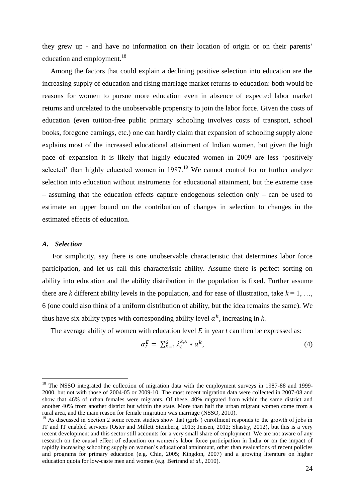they grew up - and have no information on their location of origin or on their parents" education and employment.<sup>18</sup>

Among the factors that could explain a declining positive selection into education are the increasing supply of education and rising marriage market returns to education: both would be reasons for women to pursue more education even in absence of expected labor market returns and unrelated to the unobservable propensity to join the labor force. Given the costs of education (even tuition-free public primary schooling involves costs of transport, school books, foregone earnings, etc.) one can hardly claim that expansion of schooling supply alone explains most of the increased educational attainment of Indian women, but given the high pace of expansion it is likely that highly educated women in 2009 are less "positively selected' than highly educated women in  $1987<sup>19</sup>$  We cannot control for or further analyze selection into education without instruments for educational attainment, but the extreme case – assuming that the education effects capture endogenous selection only – can be used to estimate an upper bound on the contribution of changes in selection to changes in the estimated effects of education.

#### *A. Selection*

1

For simplicity, say there is one unobservable characteristic that determines labor force participation, and let us call this characteristic ability. Assume there is perfect sorting on ability into education and the ability distribution in the population is fixed. Further assume there are *k* different ability levels in the population, and for ease of illustration, take  $k = 1, \ldots$ 6 (one could also think of a uniform distribution of ability, but the idea remains the same). We thus have six ability types with corresponding ability level  $a^k$ , increasing in *k*.

The average ability of women with education level *E* in year *t* can then be expressed as:

$$
\alpha_t^E = \sum_{k=1}^6 \lambda_t^{k,E} * a^k, \qquad (4)
$$

<sup>&</sup>lt;sup>18</sup> The NSSO integrated the collection of migration data with the employment surveys in 1987-88 and 1999-2000, but not with those of 2004-05 or 2009-10. The most recent migration data were collected in 2007-08 and show that 46% of urban females were migrants. Of these, 40% migrated from within the same district and another 40% from another district but within the state. More than half the urban migrant women come from a rural area, and the main reason for female migration was marriage (NSSO, 2010).

<sup>&</sup>lt;sup>19</sup> As discussed in Section 2 some recent studies show that (girls') enrollment responds to the growth of jobs in IT and IT enabled services (Oster and Millett Steinberg, 2013; Jensen, 2012; Shastry, 2012), but this is a very recent development and this sector still accounts for a very small share of employment. We are not aware of any research on the causal effect of education on women"s labor force participation in India or on the impact of rapidly increasing schooling supply on women"s educational attainment, other than evaluations of recent policies and programs for primary education (e.g. Chin, 2005; Kingdon, 2007) and a growing literature on higher education quota for low-caste men and women (e.g. Bertrand *et al*., 2010).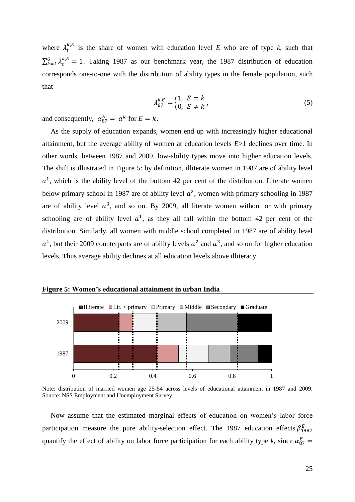where  $\lambda_t^{k,E}$  is the share of women with education level *E* who are of type *k*, such that  $\sum_{k=1}^{6} \lambda_t^{k,E} = 1$ . Taking 1987 as our benchmark year, the 1987 distribution of education corresponds one-to-one with the distribution of ability types in the female population, such that

$$
\lambda_{87}^{k,E} = \begin{cases} 1, & E = k \\ 0, & E \neq k \end{cases},
$$
 (5)

and consequently,  $\alpha_{87}^E = \alpha^k$  for  $E = k$ .

As the supply of education expands, women end up with increasingly higher educational attainment, but the average ability of women at education levels *E*>1 declines over time. In other words, between 1987 and 2009, low-ability types move into higher education levels. The shift is illustrated in Figure 5: by definition, illiterate women in 1987 are of ability level  $a<sup>1</sup>$ , which is the ability level of the bottom 42 per cent of the distribution. Literate women below primary school in 1987 are of ability level  $a^2$ , women with primary schooling in 1987 are of ability level  $a^3$ , and so on. By 2009, all literate women without or with primary schooling are of ability level  $a^1$ , as they all fall within the bottom 42 per cent of the distribution. Similarly, all women with middle school completed in 1987 are of ability level  $a<sup>4</sup>$ , but their 2009 counterparts are of ability levels  $a<sup>2</sup>$  and  $a<sup>3</sup>$ , and so on for higher education levels. Thus average ability declines at all education levels above illiteracy.



**Figure 5: Women's educational attainment in urban India**

Now assume that the estimated marginal effects of education on women"s labor force participation measure the pure ability-selection effect. The 1987 education effects  $\beta_1^E$ quantify the effect of ability on labor force participation for each ability type k, since  $\alpha_8^E$ 

Note: distribution of married women age 25-54 across levels of educational attainment in 1987 and 2009. Source: NSS Employment and Unemployment Survey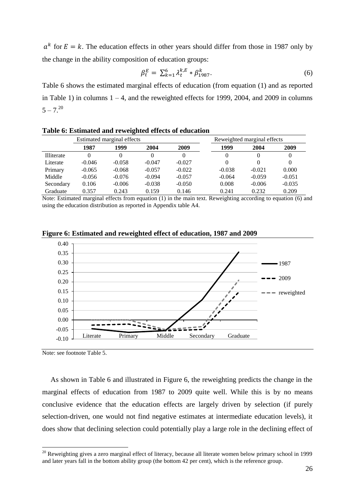$a<sup>k</sup>$  for  $E = k$ . The education effects in other years should differ from those in 1987 only by the change in the ability composition of education groups:

$$
\beta_t^E = \sum_{k=1}^6 \lambda_t^{k,E} * \beta_{1987}^k.
$$
\n(6)

Table 6 shows the estimated marginal effects of education (from equation (1) and as reported in Table 1) in columns  $1 - 4$ , and the reweighted effects for 1999, 2004, and 2009 in columns  $5 - 7^{20}$ 

| Estimated marginal effects |          |          |          | Reweighted marginal effects |          |          |          |
|----------------------------|----------|----------|----------|-----------------------------|----------|----------|----------|
|                            | 1987     | 1999     | 2004     | 2009                        | 1999     | 2004     | 2009     |
| <b>Illiterate</b>          |          |          |          |                             | 0        | 0        | 0        |
| Literate                   | $-0.046$ | $-0.058$ | $-0.047$ | $-0.027$                    | 0        | 0        | 0        |
| Primary                    | $-0.065$ | $-0.068$ | $-0.057$ | $-0.022$                    | $-0.038$ | $-0.021$ | 0.000    |
| Middle                     | $-0.056$ | $-0.076$ | $-0.094$ | $-0.057$                    | $-0.064$ | $-0.059$ | $-0.051$ |
| Secondary                  | 0.106    | $-0.006$ | $-0.038$ | $-0.050$                    | 0.008    | $-0.006$ | $-0.035$ |
| Graduate                   | 0.357    | 0.243    | 0.159    | 0.146                       | 0.241    | 0.232    | 0.209    |

**Table 6: Estimated and reweighted effects of education**

Note: Estimated marginal effects from equation (1) in the main text. Reweighting according to equation (6) and using the education distribution as reported in Appendix table A4.



**Figure 6: Estimated and reweighted effect of education, 1987 and 2009**

Note: see footnote Table 5.

<u>.</u>

As shown in Table 6 and illustrated in Figure 6, the reweighting predicts the change in the marginal effects of education from 1987 to 2009 quite well. While this is by no means conclusive evidence that the education effects are largely driven by selection (if purely selection-driven, one would not find negative estimates at intermediate education levels), it does show that declining selection could potentially play a large role in the declining effect of

 $^{20}$  Reweighting gives a zero marginal effect of literacy, because all literate women below primary school in 1999 and later years fall in the bottom ability group (the bottom 42 per cent), which is the reference group.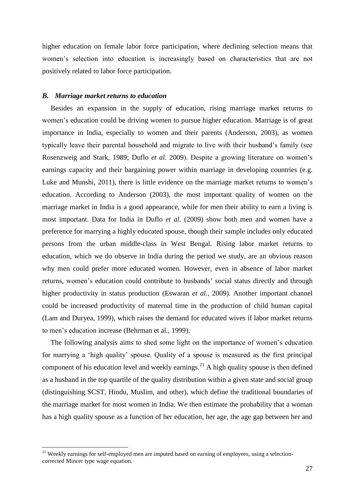higher education on female labor force participation, where declining selection means that women"s selection into education is increasingly based on characteristics that are not positively related to labor force participation.

#### *B. Marriage market returns to education*

Besides an expansion in the supply of education, rising marriage market returns to women"s education could be driving women to pursue higher education. Marriage is of great importance in India, especially to women and their parents (Anderson, 2003), as women typically leave their parental household and migrate to live with their husband"s family (see Rosenzweig and Stark, 1989; Duflo *et al.* 2009). Despite a growing literature on women"s earnings capacity and their bargaining power within marriage in developing countries (e.g. Luke and Munshi, 2011), there is little evidence on the marriage market returns to women"s education. According to Anderson (2003), the most important quality of women on the marriage market in India is a good appearance, while for men their ability to earn a living is most important. Data for India in Duflo *et al.* (2009) show both men and women have a preference for marrying a highly educated spouse, though their sample includes only educated persons from the urban middle-class in West Bengal. Rising labor market returns to education, which we do observe in India during the period we study, are an obvious reason why men could prefer more educated women. However, even in absence of labor market returns, women"s education could contribute to husbands" social status directly and through higher productivity in status production (Eswaran *et al.*, 2009). Another important channel could be increased productivity of maternal time in the production of child human capital (Lam and Duryea, 1999), which raises the demand for educated wives if labor market returns to men"s education increase (Behrman et al., 1999).

The following analysis aims to shed some light on the importance of women"s education for marrying a "high quality" spouse. Quality of a spouse is measured as the first principal component of his education level and weekly earnings.<sup>21</sup> A high quality spouse is then defined as a husband in the top quartile of the quality distribution within a given state and social group (distinguishing SCST, Hindu, Muslim, and other), which define the traditional boundaries of the marriage market for most women in India. We then estimate the probability that a woman has a high quality spouse as a function of her education, her age, the age gap between her and

<u>.</u>

 $21$  Weekly earnings for self-employed men are imputed based on earning of employees, using a selectioncorrected Mincer type wage equation.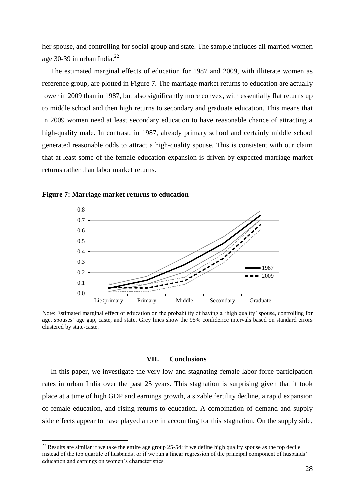her spouse, and controlling for social group and state. The sample includes all married women age 30-39 in urban India.<sup>22</sup>

The estimated marginal effects of education for 1987 and 2009, with illiterate women as reference group, are plotted in Figure 7. The marriage market returns to education are actually lower in 2009 than in 1987, but also significantly more convex, with essentially flat returns up to middle school and then high returns to secondary and graduate education. This means that in 2009 women need at least secondary education to have reasonable chance of attracting a high-quality male. In contrast, in 1987, already primary school and certainly middle school generated reasonable odds to attract a high-quality spouse. This is consistent with our claim that at least some of the female education expansion is driven by expected marriage market returns rather than labor market returns.



1



Note: Estimated marginal effect of education on the probability of having a "high quality" spouse, controlling for age, spouses" age gap, caste, and state. Grey lines show the 95% confidence intervals based on standard errors clustered by state-caste.

#### **VII. Conclusions**

In this paper, we investigate the very low and stagnating female labor force participation rates in urban India over the past 25 years. This stagnation is surprising given that it took place at a time of high GDP and earnings growth, a sizable fertility decline, a rapid expansion of female education, and rising returns to education. A combination of demand and supply side effects appear to have played a role in accounting for this stagnation. On the supply side,

 $22$  Results are similar if we take the entire age group 25-54; if we define high quality spouse as the top decile instead of the top quartile of husbands; or if we run a linear regression of the principal component of husbands' education and earnings on women"s characteristics.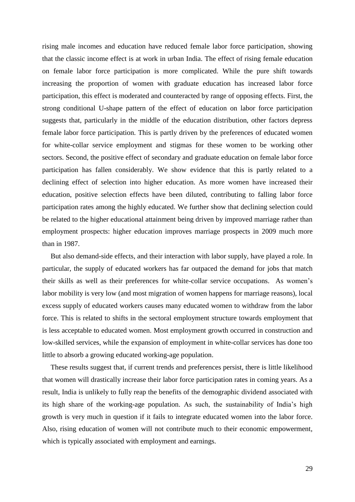rising male incomes and education have reduced female labor force participation, showing that the classic income effect is at work in urban India. The effect of rising female education on female labor force participation is more complicated. While the pure shift towards increasing the proportion of women with graduate education has increased labor force participation, this effect is moderated and counteracted by range of opposing effects. First, the strong conditional U-shape pattern of the effect of education on labor force participation suggests that, particularly in the middle of the education distribution, other factors depress female labor force participation. This is partly driven by the preferences of educated women for white-collar service employment and stigmas for these women to be working other sectors. Second, the positive effect of secondary and graduate education on female labor force participation has fallen considerably. We show evidence that this is partly related to a declining effect of selection into higher education. As more women have increased their education, positive selection effects have been diluted, contributing to falling labor force participation rates among the highly educated. We further show that declining selection could be related to the higher educational attainment being driven by improved marriage rather than employment prospects: higher education improves marriage prospects in 2009 much more than in 1987.

But also demand-side effects, and their interaction with labor supply, have played a role. In particular, the supply of educated workers has far outpaced the demand for jobs that match their skills as well as their preferences for white-collar service occupations. As women"s labor mobility is very low (and most migration of women happens for marriage reasons), local excess supply of educated workers causes many educated women to withdraw from the labor force. This is related to shifts in the sectoral employment structure towards employment that is less acceptable to educated women. Most employment growth occurred in construction and low-skilled services, while the expansion of employment in white-collar services has done too little to absorb a growing educated working-age population.

These results suggest that, if current trends and preferences persist, there is little likelihood that women will drastically increase their labor force participation rates in coming years. As a result, India is unlikely to fully reap the benefits of the demographic dividend associated with its high share of the working-age population. As such, the sustainability of India"s high growth is very much in question if it fails to integrate educated women into the labor force. Also, rising education of women will not contribute much to their economic empowerment, which is typically associated with employment and earnings.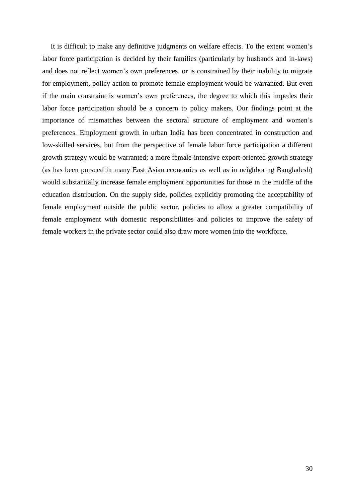It is difficult to make any definitive judgments on welfare effects. To the extent women"s labor force participation is decided by their families (particularly by husbands and in-laws) and does not reflect women"s own preferences, or is constrained by their inability to migrate for employment, policy action to promote female employment would be warranted. But even if the main constraint is women"s own preferences, the degree to which this impedes their labor force participation should be a concern to policy makers. Our findings point at the importance of mismatches between the sectoral structure of employment and women"s preferences. Employment growth in urban India has been concentrated in construction and low-skilled services, but from the perspective of female labor force participation a different growth strategy would be warranted; a more female-intensive export-oriented growth strategy (as has been pursued in many East Asian economies as well as in neighboring Bangladesh) would substantially increase female employment opportunities for those in the middle of the education distribution. On the supply side, policies explicitly promoting the acceptability of female employment outside the public sector, policies to allow a greater compatibility of female employment with domestic responsibilities and policies to improve the safety of female workers in the private sector could also draw more women into the workforce.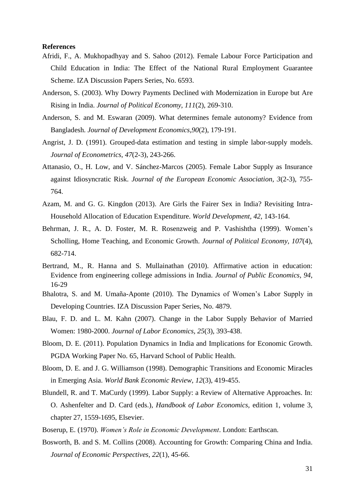#### **References**

- Afridi, F., A. Mukhopadhyay and S. Sahoo (2012). Female Labour Force Participation and Child Education in India: The Effect of the National Rural Employment Guarantee Scheme. IZA Discussion Papers Series, No. 6593.
- Anderson, S. (2003). Why Dowry Payments Declined with Modernization in Europe but Are Rising in India. *Journal of Political Economy, 111*(2), 269-310.
- Anderson, S. and M. Eswaran (2009). What determines female autonomy? Evidence from Bangladesh. *Journal of Development Economics,90*(2), 179-191.
- Angrist, J. D. (1991). Grouped-data estimation and testing in simple labor-supply models. *Journal of Econometrics*, *47*(2-3), 243-266.
- Attanasio, O., H. Low, and V. Sánchez-Marcos (2005). Female Labor Supply as Insurance against Idiosyncratic Risk. *Journal of the European Economic Association, 3*(2-3), 755- 764.
- Azam, M. and G. G. Kingdon (2013). Are Girls the Fairer Sex in India? Revisiting Intra-Household Allocation of Education Expenditure. *World Development, 42*, 143-164.
- Behrman, J. R., A. D. Foster, M. R. Rosenzweig and P. Vashishtha (1999). Women"s Scholling, Home Teaching, and Economic Growth. *Journal of Political Economy, 107*(4), 682-714.
- Bertrand, M., R. Hanna and S. Mullainathan (2010). Affirmative action in education: Evidence from engineering college admissions in India. *Journal of Public Economics, 94*, 16-29
- Bhalotra, S. and M. Umaña-Aponte (2010). The Dynamics of Women"s Labor Supply in Developing Countries. IZA Discussion Paper Series, No. 4879.
- Blau, F. D. and L. M. Kahn (2007). Change in the Labor Supply Behavior of Married Women: 1980-2000. *Journal of Labor Economics, 25*(3), 393-438.
- Bloom, D. E. (2011). Population Dynamics in India and Implications for Economic Growth. PGDA Working Paper No. 65, Harvard School of Public Health.
- Bloom, D. E. and J. G. Williamson (1998). Demographic Transitions and Economic Miracles in Emerging Asia. *World Bank Economic Review, 12*(3), 419-455.
- Blundell, R. and T. MaCurdy (1999). Labor Supply: a Review of Alternative Approaches. In: O. Ashenfelter and D. Card (eds.), *Handbook of Labor Economics,* edition 1, volume 3, chapter 27, 1559-1695, Elsevier.
- Boserup, E. (1970). *Women's Role in Economic Development*. London: Earthscan.
- Bosworth, B. and S. M. Collins (2008). Accounting for Growth: Comparing China and India. *Journal of Economic Perspectives*, *22*(1), 45-66.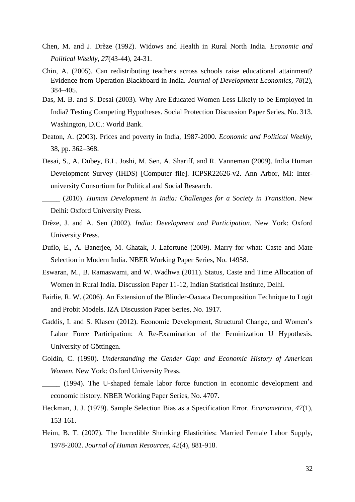- Chen, M. and J. Drèze (1992). Widows and Health in Rural North India. *Economic and Political Weekly, 27*(43-44), 24-31.
- Chin, A. (2005). Can redistributing teachers across schools raise educational attainment? Evidence from Operation Blackboard in India. *Journal of Development Economics, 78*(2), 384–405.
- Das, M. B. and S. Desai (2003). Why Are Educated Women Less Likely to be Employed in India? Testing Competing Hypotheses. Social Protection Discussion Paper Series, No. 313. Washington, D.C.: World Bank.
- Deaton, A. (2003). Prices and poverty in India, 1987-2000. *Economic and Political Weekly,* 38, pp. 362–368.
- Desai, S., A. Dubey, B.L. Joshi, M. Sen, A. Shariff, and R. Vanneman (2009). India Human Development Survey (IHDS) [Computer file]. ICPSR22626-v2. Ann Arbor, MI: Interuniversity Consortium for Political and Social Research.
- \_\_\_\_\_ (2010). *Human Development in India: Challenges for a Society in Transition*. New Delhi: Oxford University Press.
- Drèze, J. and A. Sen (2002). *India: Development and Participation*. New York: Oxford University Press.
- Duflo, E., A. Banerjee, M. Ghatak, J. Lafortune (2009). Marry for what: Caste and Mate Selection in Modern India. NBER Working Paper Series, No. 14958.
- Eswaran, M., B. Ramaswami, and W. Wadhwa (2011). Status, Caste and Time Allocation of Women in Rural India. Discussion Paper 11-12, Indian Statistical Institute, Delhi.
- Fairlie, R. W. (2006). An Extension of the Blinder-Oaxaca Decomposition Technique to Logit and Probit Models. IZA Discussion Paper Series, No. 1917.
- Gaddis, I. and S. Klasen (2012). Economic Development, Structural Change, and Women"s Labor Force Participation: A Re-Examination of the Feminization U Hypothesis. University of Göttingen.
- Goldin, C. (1990). *Understanding the Gender Gap: and Economic History of American Women.* New York: Oxford University Press.
- \_\_\_\_\_ (1994). The U-shaped female labor force function in economic development and economic history. NBER Working Paper Series, No. 4707.
- Heckman, J. J. (1979). Sample Selection Bias as a Specification Error. *Econometrica, 47*(1), 153-161.
- Heim, B. T. (2007). The Incredible Shrinking Elasticities: Married Female Labor Supply, 1978-2002. *Journal of Human Resources, 42*(4), 881-918.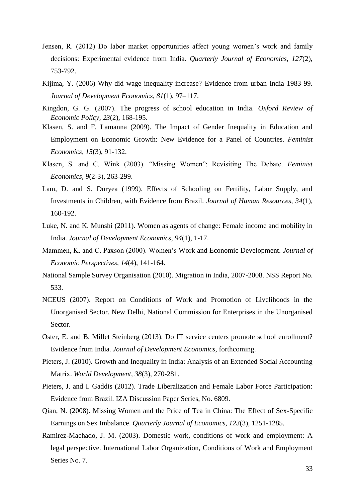- Jensen, R. (2012) Do labor market opportunities affect young women"s work and family decisions: Experimental evidence from India. *Quarterly Journal of Economics, 127*(2), 753-792.
- Kijima, Y. (2006) Why did wage inequality increase? Evidence from urban India 1983-99. *Journal of Development Economics, 81*(1), 97–117.
- Kingdon, G. G. (2007). The progress of school education in India. *Oxford Review of Economic Policy, 23*(2), 168-195.
- Klasen, S. and F. Lamanna (2009). The Impact of Gender Inequality in Education and Employment on Economic Growth: New Evidence for a Panel of Countries. *Feminist Economics*, *15*(3), 91-132.
- Klasen, S. and C. Wink (2003). "Missing Women": Revisiting The Debate. *Feminist Economics, 9*(2-3), 263-299.
- Lam, D. and S. Duryea (1999). Effects of Schooling on Fertility, Labor Supply, and Investments in Children, with Evidence from Brazil. *Journal of Human Resources, 34*(1), 160-192.
- Luke, N. and K. Munshi (2011). Women as agents of change: Female income and mobility in India. *Journal of Development Economics*, *94*(1), 1-17.
- Mammen, K. and C. Paxson (2000). Women"s Work and Economic Development. *Journal of Economic Perspectives, 14*(4), 141-164.
- National Sample Survey Organisation (2010). Migration in India, 2007-2008. NSS Report No. 533.
- NCEUS (2007). Report on Conditions of Work and Promotion of Livelihoods in the Unorganised Sector. New Delhi, National Commission for Enterprises in the Unorganised Sector.
- Oster, E. and B. Millet Steinberg (2013). Do IT service centers promote school enrollment? Evidence from India. *Journal of Development Economics*, forthcoming.
- Pieters, J. (2010). Growth and Inequality in India: Analysis of an Extended Social Accounting Matrix. *World Development, 38*(3), 270-281.
- Pieters, J. and I. Gaddis (2012). Trade Liberalization and Female Labor Force Participation: Evidence from Brazil. IZA Discussion Paper Series, No. 6809.
- Qian, N. (2008). Missing Women and the Price of Tea in China: The Effect of Sex-Specific Earnings on Sex Imbalance. *Quarterly Journal of Economics*, *123*(3), 1251-1285.
- Ramirez-Machado, J. M. (2003). Domestic work, conditions of work and employment: A legal perspective. International Labor Organization, Conditions of Work and Employment Series No. 7.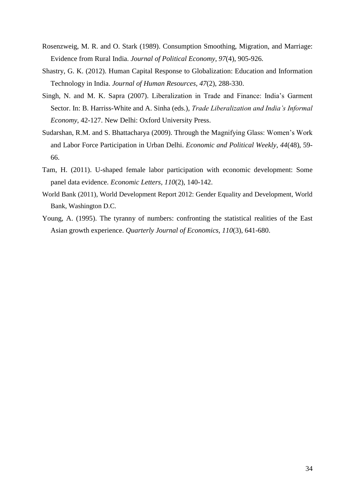- Rosenzweig, M. R. and O. Stark (1989). Consumption Smoothing, Migration, and Marriage: Evidence from Rural India. *Journal of Political Economy, 97*(4), 905-926.
- Shastry, G. K. (2012). Human Capital Response to Globalization: Education and Information Technology in India. *Journal of Human Resources, 47*(2), 288-330.
- Singh, N. and M. K. Sapra (2007). Liberalization in Trade and Finance: India"s Garment Sector. In: B. Harriss-White and A. Sinha (eds.), *Trade Liberalization and India's Informal Economy*, 42-127. New Delhi: Oxford University Press.
- Sudarshan, R.M. and S. Bhattacharya (2009). Through the Magnifying Glass: Women"s Work and Labor Force Participation in Urban Delhi. *Economic and Political Weekly, 44*(48), 59- 66.
- Tam, H. (2011). U-shaped female labor participation with economic development: Some panel data evidence. *Economic Letters, 110*(2), 140-142.
- World Bank (2011), World Development Report 2012: Gender Equality and Development, World Bank, Washington D.C.
- Young, A. (1995). The tyranny of numbers: confronting the statistical realities of the East Asian growth experience. *Quarterly Journal of Economics, 110*(3), 641-680.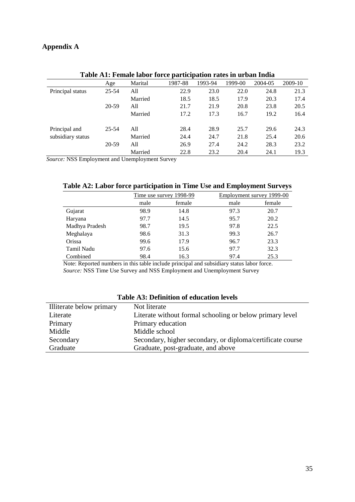## **Appendix A**

| Table AT, Peniale labor force participation rates in urban mula |           |         |         |         |         |         |         |
|-----------------------------------------------------------------|-----------|---------|---------|---------|---------|---------|---------|
|                                                                 | Age       | Marital | 1987-88 | 1993-94 | 1999-00 | 2004-05 | 2009-10 |
| Principal status                                                | $25 - 54$ | All     | 22.9    | 23.0    | 22.0    | 24.8    | 21.3    |
|                                                                 |           | Married | 18.5    | 18.5    | 17.9    | 20.3    | 17.4    |
|                                                                 | 20-59     | All     | 21.7    | 21.9    | 20.8    | 23.8    | 20.5    |
|                                                                 |           | Married | 17.2    | 17.3    | 16.7    | 19.2    | 16.4    |
|                                                                 |           |         |         |         |         |         |         |
| Principal and                                                   | 25-54     | A11     | 28.4    | 28.9    | 25.7    | 29.6    | 24.3    |
| subsidiary status                                               |           | Married | 24.4    | 24.7    | 21.8    | 25.4    | 20.6    |
|                                                                 | 20-59     | All     | 26.9    | 27.4    | 24.2    | 28.3    | 23.2    |
|                                                                 |           | Married | 22.8    | 23.2    | 20.4    | 24.1    | 19.3    |

### **Table A1: Female labor force participation rates in urban India**

*Source:* NSS Employment and Unemployment Survey

| Table A2: Labor force participation in Time Use and Employment Surveys |  |  |  |  |  |  |
|------------------------------------------------------------------------|--|--|--|--|--|--|
|------------------------------------------------------------------------|--|--|--|--|--|--|

|                |      | Time use survey 1998-99 |      | Employment survey 1999-00 |
|----------------|------|-------------------------|------|---------------------------|
|                | male | female                  | male | female                    |
| Gujarat        | 98.9 | 14.8                    | 97.3 | 20.7                      |
| Haryana        | 97.7 | 14.5                    | 95.7 | 20.2                      |
| Madhya Pradesh | 98.7 | 19.5                    | 97.8 | 22.5                      |
| Meghalaya      | 98.6 | 31.3                    | 99.3 | 26.7                      |
| Orissa         | 99.6 | 17.9                    | 96.7 | 23.3                      |
| Tamil Nadu     | 97.6 | 15.6                    | 97.7 | 32.3                      |
| Combined       | 98.4 | 16.3                    | 97.4 | 25.3                      |
|                |      |                         |      |                           |

Note: Reported numbers in this table include principal and subsidiary status labor force. *Source:* NSS Time Use Survey and NSS Employment and Unemployment Survey

| Table A.S. Definition of equication levels |                                                            |  |  |  |  |
|--------------------------------------------|------------------------------------------------------------|--|--|--|--|
| Illiterate below primary                   | Not literate                                               |  |  |  |  |
| Literate                                   | Literate without formal schooling or below primary level   |  |  |  |  |
| Primary                                    | Primary education                                          |  |  |  |  |
| Middle                                     | Middle school                                              |  |  |  |  |
| Secondary                                  | Secondary, higher secondary, or diploma/certificate course |  |  |  |  |
| Graduate                                   | Graduate, post-graduate, and above                         |  |  |  |  |

### **Table A3: Definition of education levels**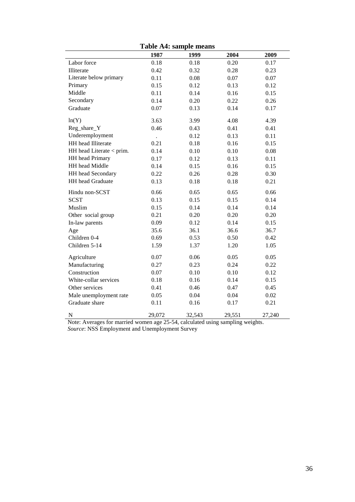|                          |                      | таріс Ач. баніріс пісанб |        |        |
|--------------------------|----------------------|--------------------------|--------|--------|
|                          | 1987                 | 1999                     | 2004   | 2009   |
| Labor force              | 0.18                 | 0.18                     | 0.20   | 0.17   |
| Illiterate               | 0.42                 | 0.32                     | 0.28   | 0.23   |
| Literate below primary   | 0.11                 | 0.08                     | 0.07   | 0.07   |
| Primary                  | 0.15                 | 0.12                     | 0.13   | 0.12   |
| Middle                   | 0.11                 | 0.14                     | 0.16   | 0.15   |
| Secondary                | 0.14                 | 0.20                     | 0.22   | 0.26   |
| Graduate                 | 0.07                 | 0.13                     | 0.14   | 0.17   |
| ln(Y)                    | 3.63                 | 3.99                     | 4.08   | 4.39   |
| Reg_share_Y              | 0.46                 | 0.43                     | 0.41   | 0.41   |
| Underemployment          | $\ddot{\phantom{0}}$ | 0.12                     | 0.13   | 0.11   |
| HH head Illiterate       | 0.21                 | 0.18                     | 0.16   | 0.15   |
| HH head Literate < prim. | 0.14                 | 0.10                     | 0.10   | 0.08   |
| HH head Primary          | 0.17                 | 0.12                     | 0.13   | 0.11   |
| HH head Middle           | 0.14                 | 0.15                     | 0.16   | 0.15   |
| HH head Secondary        | 0.22                 | 0.26                     | 0.28   | 0.30   |
| HH head Graduate         | 0.13                 | 0.18                     | 0.18   | 0.21   |
| Hindu non-SCST           | 0.66                 | 0.65                     | 0.65   | 0.66   |
| <b>SCST</b>              | 0.13                 | 0.15                     | 0.15   | 0.14   |
| Muslim                   | 0.15                 | 0.14                     | 0.14   | 0.14   |
| Other social group       | 0.21                 | 0.20                     | 0.20   | 0.20   |
| In-law parents           | 0.09                 | 0.12                     | 0.14   | 0.15   |
| Age                      | 35.6                 | 36.1                     | 36.6   | 36.7   |
| Children 0-4             | 0.69                 | 0.53                     | 0.50   | 0.42   |
| Children 5-14            | 1.59                 | 1.37                     | 1.20   | 1.05   |
| Agriculture              | 0.07                 | 0.06                     | 0.05   | 0.05   |
| Manufacturing            | 0.27                 | 0.23                     | 0.24   | 0.22   |
| Construction             | 0.07                 | 0.10                     | 0.10   | 0.12   |
| White-collar services    | 0.18                 | 0.16                     | 0.14   | 0.15   |
| Other services           | 0.41                 | 0.46                     | 0.47   | 0.45   |
| Male unemployment rate   | 0.05                 | 0.04                     | 0.04   | 0.02   |
| Graduate share           | 0.11                 | 0.16                     | 0.17   | 0.21   |
| $\mathbf N$              | 29,072               | 32,543                   | 29,551 | 27,240 |

**Table A4: sample means**

Note: Averages for married women age 25-54, calculated using sampling weights. *Source*: NSS Employment and Unemployment Survey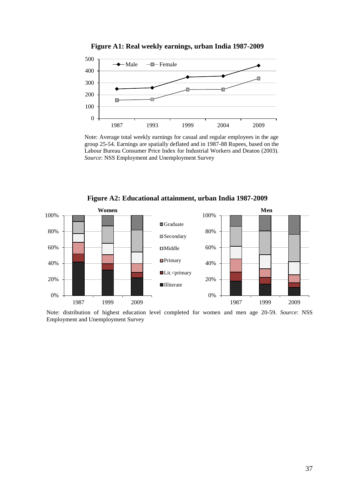

**Figure A1: Real weekly earnings, urban India 1987-2009**

Note: Average total weekly earnings for casual and regular employees in the age group 25-54. Earnings are spatially deflated and in 1987-88 Rupees, based on the Labour Bureau Consumer Price Index for Industrial Workers and Deaton (2003). *Source*: NSS Employment and Unemployment Survey



Note: distribution of highest education level completed for women and men age 20-59. *Source*: NSS Employment and Unemployment Survey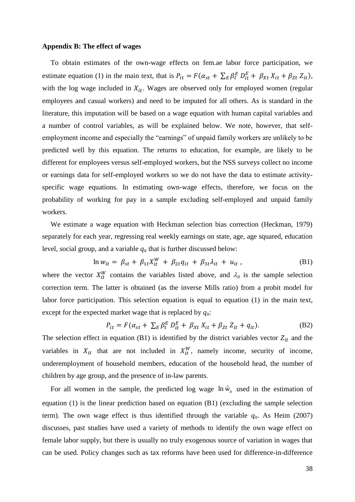#### **Appendix B: The effect of wages**

l

To obtain estimates of the own-wage effects on fem.ae labor force participation, we estimate equation (1) in the main text, that is  $P_{it} = F(\alpha_{st} + \sum_{E} \beta_{t}^{E} D_{it}^{E} + \beta_{Xt} X_{it} + \beta_{Zt} Z_{it}),$ with the log wage included in  $X_{it}$ . Wages are observed only for employed women (regular employees and casual workers) and need to be imputed for all others. As is standard in the literature, this imputation will be based on a wage equation with human capital variables and a number of control variables, as will be explained below. We note, however, that selfemployment income and especially the "earnings" of unpaid family workers are unlikely to be predicted well by this equation. The returns to education, for example, are likely to be different for employees versus self-employed workers, but the NSS surveys collect no income or earnings data for self-employed workers so we do not have the data to estimate activityspecific wage equations. In estimating own-wage effects, therefore, we focus on the probability of working for pay in a sample excluding self-employed and unpaid family workers.

We estimate a wage equation with Heckman selection bias correction (Heckman, 1979) separately for each year, regressing real weekly earnings on state, age, age squared, education level, social group, and a variable *qit* that is further discussed below:

$$
n w_{it} = \beta_{st} + \beta_{1t} X_{it}^W + \beta_{2t} q_{it} + \beta_{3t} \lambda_{it} + u_{it} , \qquad (B1)
$$

where the vector  $X_{it}^W$  contains the variables listed above, and  $\lambda_{it}$  is the sample selection correction term. The latter is obtained (as the inverse Mills ratio) from a probit model for labor force participation. This selection equation is equal to equation (1) in the main text, except for the expected market wage that is replaced by *qit*:

$$
P_{it} = F(\alpha_{st} + \sum_{E} \beta_t^E D_{it}^E + \beta_{Xt} X_{it} + \beta_{Zt} Z_{it} + q_{it}).
$$
 (B2)

The selection effect in equation (B1) is identified by the district variables vector  $Z_{it}$  and the variables in  $X_{it}$  that are not included in  $X_{it}^W$ , namely income, security of income, underemployment of household members, education of the household head, the number of children by age group, and the presence of in-law parents.

For all women in the sample, the predicted log wage  $\ln \hat{w}_i$  used in the estimation of equation (1) is the linear prediction based on equation (B1) (excluding the sample selection term). The own wage effect is thus identified through the variable  $q_{it}$ . As Heim (2007) discusses, past studies have used a variety of methods to identify the own wage effect on female labor supply, but there is usually no truly exogenous source of variation in wages that can be used. Policy changes such as tax reforms have been used for difference-in-difference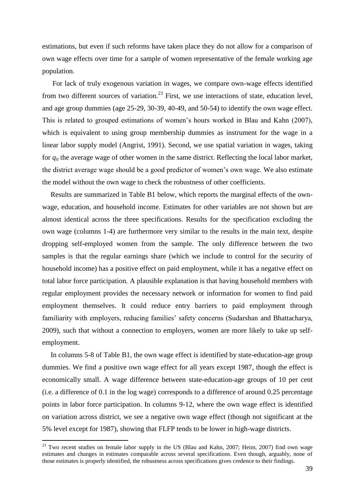estimations, but even if such reforms have taken place they do not allow for a comparison of own wage effects over time for a sample of women representative of the female working age population.

For lack of truly exogenous variation in wages, we compare own-wage effects identified from two different sources of variation.<sup>23</sup> First, we use interactions of state, education level, and age group dummies (age 25-29, 30-39, 40-49, and 50-54) to identify the own wage effect. This is related to grouped estimations of women's hours worked in Blau and Kahn (2007), which is equivalent to using group membership dummies as instrument for the wage in a linear labor supply model (Angrist, 1991). Second, we use spatial variation in wages, taking for *qit* the average wage of other women in the same district. Reflecting the local labor market, the district average wage should be a good predictor of women"s own wage. We also estimate the model without the own wage to check the robustness of other coefficients.

Results are summarized in Table B1 below, which reports the marginal effects of the ownwage, education, and household income. Estimates for other variables are not shown but are almost identical across the three specifications. Results for the specification excluding the own wage (columns 1-4) are furthermore very similar to the results in the main text, despite dropping self-employed women from the sample. The only difference between the two samples is that the regular earnings share (which we include to control for the security of household income) has a positive effect on paid employment, while it has a negative effect on total labor force participation. A plausible explanation is that having household members with regular employment provides the necessary network or information for women to find paid employment themselves. It could reduce entry barriers to paid employment through familiarity with employers, reducing families' safety concerns (Sudarshan and Bhattacharya, 2009), such that without a connection to employers, women are more likely to take up selfemployment.

In columns 5-8 of Table B1, the own wage effect is identified by state-education-age group dummies. We find a positive own wage effect for all years except 1987, though the effect is economically small. A wage difference between state-education-age groups of 10 per cent (i.e. a difference of 0.1 in the log wage) corresponds to a difference of around 0.25 percentage points in labor force participation. In columns 9-12, where the own wage effect is identified on variation across district, we see a negative own wage effect (though not significant at the 5% level except for 1987), showing that FLFP tends to be lower in high-wage districts.

1

 $23$  Two recent studies on female labor supply in the US (Blau and Kahn, 2007; Heim, 2007) find own wage estimates and changes in estimates comparable across several specifications. Even though, arguably, none of those estimates is properly identified, the robustness across specifications gives credence to their findings.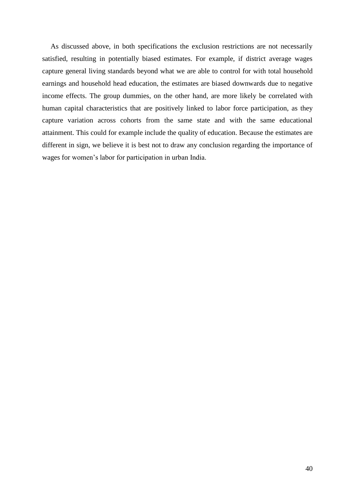As discussed above, in both specifications the exclusion restrictions are not necessarily satisfied, resulting in potentially biased estimates. For example, if district average wages capture general living standards beyond what we are able to control for with total household earnings and household head education, the estimates are biased downwards due to negative income effects. The group dummies, on the other hand, are more likely be correlated with human capital characteristics that are positively linked to labor force participation, as they capture variation across cohorts from the same state and with the same educational attainment. This could for example include the quality of education. Because the estimates are different in sign, we believe it is best not to draw any conclusion regarding the importance of wages for women"s labor for participation in urban India.